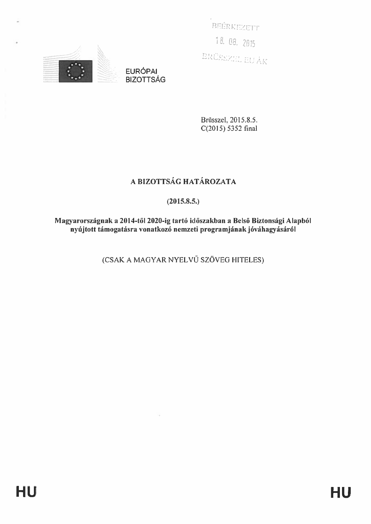BEÉRKEZETT 18.08.2015 BRÜSSZEL EU ÁK



**EURÓPAI BIZOTTSÁG** 

> Brüsszel, 2015.8.5.  $C(2015)$  5352 final

# A BIZOTTSÁG HATÁROZATA

# $(2015.8.5.)$

Magyarországnak a 2014-től 2020-ig tartó időszakban a Belső Biztonsági Alapból nyújtott támogatásra vonatkozó nemzeti programjának jóváhagyásáról

(CSAK A MAGYAR NYELVŰ SZÖVEG HITELES)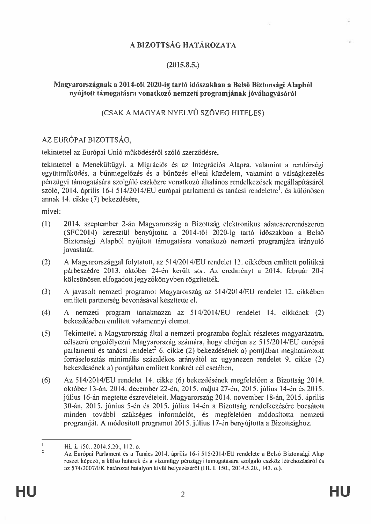# A BIZOTTSÁG HATÁROZATA

## $(2015.8.5.)$

## Magyarországnak a 2014-től 2020-ig tartó időszakban a Belső Biztonsági Alapból nvúitott támogatásra vonatkozó nemzeti programjának jóváhagyásáról

# (CSAK A MAGYAR NYELVŰ SZÖVEG HITELES)

# AZ EURÓPAI BIZOTTSÁG.

tekintettel az Európai Unió működéséről szóló szerződésre,

tekintettel a Menekültügyi, a Migrációs és az Integrációs Alapra, valamint a rendőrségi együttműködés, a bűnmegelőzés és a bűnözés elleni küzdelem, valamint a válságkezelés pénzügyi támogatására szolgáló eszközre vonatkozó általános rendelkezések megállapításáról szóló, 2014. április 16-i 514/2014/EU európai parlamenti és tanácsi rendeletre<sup>l</sup>, és különösen annak 14. cikke (7) bekezdésére,

mivel:

- $(1)$ 2014. szeptember 2-án Magyarország a Bizottság elektronikus adatcsererendszerén (SFC2014) keresztül benyújtotta a 2014-től 2020-ig tartó időszakban a Belső Biztonsági Alapból nyújtott támogatásra vonatkozó nemzeti programjára irányuló javaslatát.
- $(2)$ A Magyarországgal folytatott, az 514/2014/EU rendelet 13. cikkében említett politikai párbeszédre 2013. október 24-én került sor. Az eredményt a 2014. február 20-i kölcsönösen elfogadott jegyzőkönyvben rögzítették.
- $(3)$ A javasolt nemzeti programot Magyarország az 514/2014/EU rendelet 12. cikkében emlitett partnerség bevonásával készítette el.
- $(4)$ A nemzeti program tartalmazza az 514/2014/EU rendelet 14. cikkének (2) bekezdésében említett valamennyi elemet.
- $(5)$ Tekintettel a Magyarország által a nemzeti programba foglalt részletes magyarázatra, célszerű engedélyezni Magyarország számára, hogy eltérjen az 515/2014/EU európai parlamenti és tanácsi rendelet<sup>2</sup> 6. cikke (2) bekezdésének a) pontjában meghatározott forráselosztás minimális százalékos arányától az ugyanezen rendelet 9. cikke (2) bekezdésének a) pontjában említett konkrét cél esetében.
- $(6)$ Az 514/2014/EU rendelet 14. cikke (6) bekezdésének megfelelően a Bizottság 2014. október 13-án, 2014. december 22-én, 2015. május 27-én, 2015. július 14-én és 2015. július 16-án megtette észrevételeit. Magyarország 2014. november 18-án, 2015. április 30-án, 2015. június 5-én és 2015. július 14-én a Bizottság rendelkezésére bocsátott minden további szükséges információt, és megfelelően módosította nemzeti programját. A módosított programot 2015. július 17-én benyújtotta a Bizottsághoz.

 $\mathbf{I}$ HL L 150., 2014.5.20., 112. o.  $\gamma$ 

Az Európai Parlament és a Tanács 2014. április 16-i 515/2014/EU rendelete a Belső Biztonsági Alap részét képező, a külső határok és a vízumügy pénzügyi támogatására szolgáló eszköz létrehozásáról és az 574/2007/EK határozat hatályon kívül helyezéséről (HL L 150., 2014.5.20., 143. o.).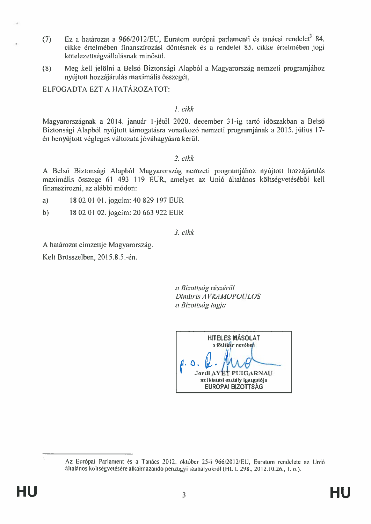- Ez a határozat a 966/2012/EU, Euratom európai parlamenti és tanácsi rendelet<sup>3</sup> 84.  $(7)$ cikke értelmében finanszírozási döntésnek és a rendelet 85. cikke értelmében iogi kötelezettségvállalásnak minősül.
- Meg kell jelölni a Belső Biztonsági Alapból a Magyarország nemzeti programjához  $(8)$ nyújtott hozzájárulás maximális összegét,

ELFOGADTA EZT A HATÁROZATOT:

#### $I$  cikk

Magyarországnak a 2014. január 1-jétől 2020. december 31-ig tartó időszakban a Belső Biztonsági Alapból nyújtott támogatásra vonatkozó nemzeti programjának a 2015. július 17én benyújtott végleges változata jóváhagyásra kerül.

#### $2. cikk$

A Belső Biztonsági Alapból Magyarország nemzeti programjához nyújtott hozzájárulás maximális összege 61 493 119 EUR, amelyet az Unió általános költségvetéséből kell finanszírozni, az alábbi módon:

- 18 02 01 01. jogcím: 40 829 197 EUR a)
- 18 02 01 02. jogcím: 20 663 922 EUR  $b)$

## $3. cikk$

A határozat címzettje Magyarország.

Kelt Brüsszelben, 2015.8.5.-én.

a Bizottság részéről Dimitris AVRAMOPOULOS a Bizottság tagja

**HITELES MÁSOLAT** a fötitkir neveben Jordi AY'ET PUIGARNAU az iktatási osztály igazgatója **EURÓPAI BIZOTTSÁG** 

 $\overline{3}$ 

Az Európai Parlament és a Tanács 2012, október 25-i 966/2012/EU, Euratom rendelete az Unió általános költségvetésére alkalmazandó pénzügyi szabályokról (HL L 298., 2012.10.26., 1. o.).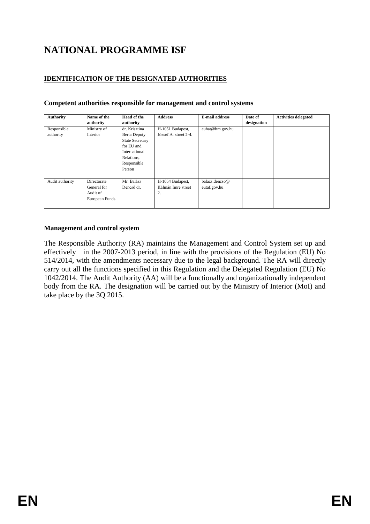# **NATIONAL PROGRAMME ISF**

# **IDENTIFICATION OF THE DESIGNATED AUTHORITIES**

| <b>Authority</b>         | Name of the<br>authority                                 | Head of the<br>authority                                                                                                      | <b>Address</b>                               | <b>E-mail address</b>          | Date of<br>designation | <b>Activities delegated</b> |
|--------------------------|----------------------------------------------------------|-------------------------------------------------------------------------------------------------------------------------------|----------------------------------------------|--------------------------------|------------------------|-----------------------------|
| Responsible<br>authority | Ministry of<br>Interior                                  | dr. Krisztina<br>Berta Deputy<br><b>State Secretary</b><br>for EU and<br>International<br>Relations,<br>Responsible<br>Person | H-1051 Budapest,<br>József A. street 2-4.    | euhat@bm.gov.hu                |                        |                             |
| Audit authority          | Directorate<br>General for<br>Audit of<br>European Funds | Mr. Balázs<br>Dencső dr.                                                                                                      | H-1054 Budapest,<br>Kálmán Imre street<br>2. | balazs.dencso@<br>eutaf.gov.hu |                        |                             |

#### **Competent authorities responsible for management and control systems**

#### **Management and control system**

The Responsible Authority (RA) maintains the Management and Control System set up and effectively in the 2007-2013 period, in line with the provisions of the Regulation (EU) No 514/2014, with the amendments necessary due to the legal background. The RA will directly carry out all the functions specified in this Regulation and the Delegated Regulation (EU) No 1042/2014. The Audit Authority (AA) will be a functionally and organizationally independent body from the RA. The designation will be carried out by the Ministry of Interior (MoI) and take place by the 3Q 2015.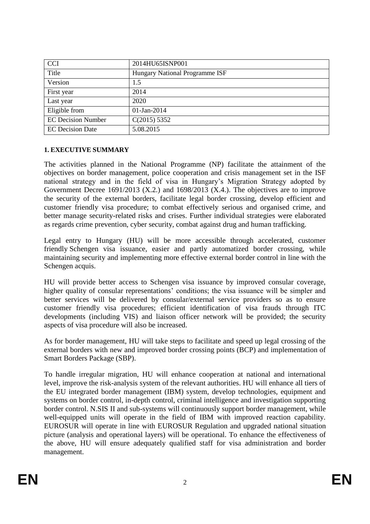| <b>CCI</b>                | 2014HU65ISNP001                       |
|---------------------------|---------------------------------------|
| Title                     | <b>Hungary National Programme ISF</b> |
| Version                   | 1.5                                   |
| First year                | 2014                                  |
| Last year                 | 2020                                  |
| Eligible from             | 01-Jan-2014                           |
| <b>EC Decision Number</b> | C(2015) 5352                          |
| <b>EC</b> Decision Date   | 5.08.2015                             |

## **1. EXECUTIVE SUMMARY**

The activities planned in the National Programme (NP) facilitate the attainment of the objectives on border management, police cooperation and crisis management set in the ISF national strategy and in the field of visa in Hungary's Migration Strategy adopted by Government Decree  $1691/2013$  (X.2.) and  $1698/2013$  (X.4.). The objectives are to improve the security of the external borders, facilitate legal border crossing, develop efficient and customer friendly visa procedure; to combat effectively serious and organised crime, and better manage security-related risks and crises. Further individual strategies were elaborated as regards crime prevention, cyber security, combat against drug and human trafficking.

Legal entry to Hungary (HU) will be more accessible through accelerated, customer friendly Schengen visa issuance, easier and partly automatized border crossing, while maintaining security and implementing more effective external border control in line with the Schengen acquis.

HU will provide better access to Schengen visa issuance by improved consular coverage, higher quality of consular representations' conditions; the visa issuance will be simpler and better services will be delivered by consular/external service providers so as to ensure customer friendly visa procedures; efficient identification of visa frauds through ITC developments (including VIS) and liaison officer network will be provided; the security aspects of visa procedure will also be increased.

As for border management, HU will take steps to facilitate and speed up legal crossing of the external borders with new and improved border crossing points (BCP) and implementation of Smart Borders Package (SBP).

To handle irregular migration, HU will enhance cooperation at national and international level, improve the risk-analysis system of the relevant authorities. HU will enhance all tiers of the EU integrated border management (IBM) system, develop technologies, equipment and systems on border control, in-depth control, criminal intelligence and investigation supporting border control. N.SIS II and sub-systems will continuously support border management, while well-equipped units will operate in the field of IBM with improved reaction capability. EUROSUR will operate in line with EUROSUR Regulation and upgraded national situation picture (analysis and operational layers) will be operational. To enhance the effectiveness of the above, HU will ensure adequately qualified staff for visa administration and border management.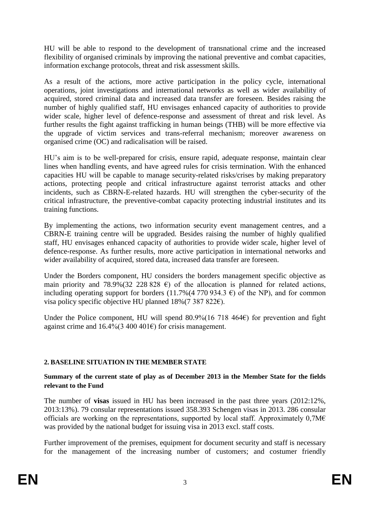HU will be able to respond to the development of transnational crime and the increased flexibility of organised criminals by improving the national preventive and combat capacities, information exchange protocols, threat and risk assessment skills.

As a result of the actions, more active participation in the policy cycle, international operations, joint investigations and international networks as well as wider availability of acquired, stored criminal data and increased data transfer are foreseen. Besides raising the number of highly qualified staff, HU envisages enhanced capacity of authorities to provide wider scale, higher level of defence-response and assessment of threat and risk level. As further results the fight against trafficking in human beings (THB) will be more effective via the upgrade of victim services and trans-referral mechanism; moreover awareness on organised crime (OC) and radicalisation will be raised.

HU's aim is to be well-prepared for crisis, ensure rapid, adequate response, maintain clear lines when handling events, and have agreed rules for crisis termination. With the enhanced capacities HU will be capable to manage security-related risks/crises by making preparatory actions, protecting people and critical infrastructure against terrorist attacks and other incidents, such as CBRN-E-related hazards. HU will strengthen the cyber-security of the critical infrastructure, the preventive-combat capacity protecting industrial institutes and its training functions.

By implementing the actions, two information security event management centres, and a CBRN-E training centre will be upgraded. Besides raising the number of highly qualified staff, HU envisages enhanced capacity of authorities to provide wider scale, higher level of defence-response. As further results, more active participation in international networks and wider availability of acquired, stored data, increased data transfer are foreseen.

Under the Borders component, HU considers the borders management specific objective as main priority and 78.9%(32 228 828  $\epsilon$ ) of the allocation is planned for related actions, including operating support for borders (11.7%(4 770 934.3  $\epsilon$ ) of the NP), and for common visa policy specific objective HU planned  $18\%$  (7 387 822€).

Under the Police component, HU will spend  $80.9\%$  (16 718 464 $\epsilon$ ) for prevention and fight against crime and  $16.4\%$  (3 400 401€) for crisis management.

## **2. BASELINE SITUATION IN THE MEMBER STATE**

**Summary of the current state of play as of December 2013 in the Member State for the fields relevant to the Fund**

The number of **visas** issued in HU has been increased in the past three years (2012:12%, 2013:13%). 79 consular representations issued 358.393 Schengen visas in 2013. 286 consular officials are working on the representations, supported by local staff. Approximately  $0.7M\epsilon$ was provided by the national budget for issuing visa in 2013 excl. staff costs.

Further improvement of the premises, equipment for document security and staff is necessary for the management of the increasing number of customers; and costumer friendly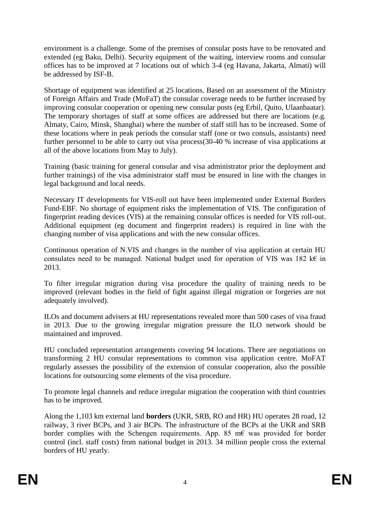environment is a challenge. Some of the premises of consular posts have to be renovated and extended (eg Baku, Delhi). Security equipment of the waiting, interview rooms and consular offices has to be improved at 7 locations out of which 3-4 (eg Havana, Jakarta, Almati) will be addressed by ISF-B.

Shortage of equipment was identified at 25 locations. Based on an assessment of the Ministry of Foreign Affairs and Trade (MoFaT) the consular coverage needs to be further increased by improving consular cooperation or opening new consular posts (eg Erbil, Quito, Ulaanbaatar). The temporary shortages of staff at some offices are addressed but there are locations (e.g. Almaty, Cairo, Minsk, Shanghai) where the number of staff still has to be increased. Some of these locations where in peak periods the consular staff (one or two consuls, assistants) need further personnel to be able to carry out visa process(30-40 % increase of visa applications at all of the above locations from May to July).

Training (basic training for general consular and visa administrator prior the deployment and further trainings) of the visa administrator staff must be ensured in line with the changes in legal background and local needs.

Necessary IT developments for VIS-roll out have been implemented under External Borders Fund-EBF. No shortage of equipment risks the implementation of VIS. The configuration of fingerprint reading devices (VIS) at the remaining consular offices is needed for VIS roll-out. Additional equipment (eg document and fingerprint readers) is required in line with the changing number of visa applications and with the new consular offices.

Continuous operation of N.VIS and changes in the number of visa application at certain HU consulates need to be managed. National budget used for operation of VIS was 182 k€ in 2013.

To filter irregular migration during visa procedure the quality of training needs to be improved (relevant bodies in the field of fight against illegal migration or forgeries are not adequately involved).

ILOs and document advisers at HU representations revealed more than 500 cases of visa fraud in 2013. Due to the growing irregular migration pressure the ILO network should be maintained and improved.

HU concluded representation arrangements covering 94 locations. There are negotiations on transforming 2 HU consular representations to common visa application centre. MoFAT regularly assesses the possibility of the extension of consular cooperation, also the possible locations for outsourcing some elements of the visa procedure.

To promote legal channels and reduce irregular migration the cooperation with third countries has to be improved.

Along the 1,103 km external land **borders** (UKR, SRB, RO and HR) HU operates 28 road, 12 railway, 3 river BCPs, and 3 air BCPs. The infrastructure of the BCPs at the UKR and SRB border complies with the Schengen requirements. App. 85 m€ was provided for border control (incl. staff costs) from national budget in 2013. 34 million people cross the external borders of HU yearly.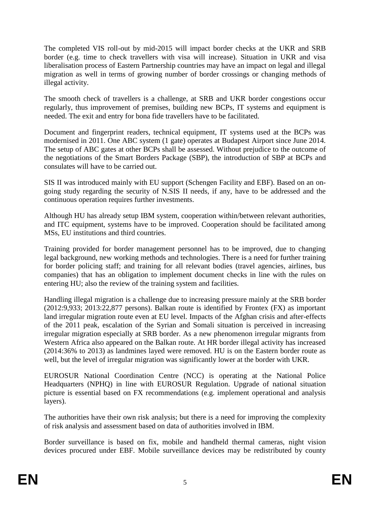The completed VIS roll-out by mid-2015 will impact border checks at the UKR and SRB border (e.g. time to check travellers with visa will increase). Situation in UKR and visa liberalisation process of Eastern Partnership countries may have an impact on legal and illegal migration as well in terms of growing number of border crossings or changing methods of illegal activity.

The smooth check of travellers is a challenge, at SRB and UKR border congestions occur regularly, thus improvement of premises, building new BCPs, IT systems and equipment is needed. The exit and entry for bona fide travellers have to be facilitated.

Document and fingerprint readers, technical equipment, IT systems used at the BCPs was modernised in 2011. One ABC system (1 gate) operates at Budapest Airport since June 2014. The setup of ABC gates at other BCPs shall be assessed. Without prejudice to the outcome of the negotiations of the Smart Borders Package (SBP), the introduction of SBP at BCPs and consulates will have to be carried out.

SIS II was introduced mainly with EU support (Schengen Facility and EBF). Based on an ongoing study regarding the security of N.SIS II needs, if any, have to be addressed and the continuous operation requires further investments.

Although HU has already setup IBM system, cooperation within/between relevant authorities, and ITC equipment, systems have to be improved. Cooperation should be facilitated among MSs, EU institutions and third countries.

Training provided for border management personnel has to be improved, due to changing legal background, new working methods and technologies. There is a need for further training for border policing staff; and training for all relevant bodies (travel agencies, airlines, bus companies) that has an obligation to implement document checks in line with the rules on entering HU; also the review of the training system and facilities.

Handling illegal migration is a challenge due to increasing pressure mainly at the SRB border (2012:9,933; 2013:22,877 persons). Balkan route is identified by Frontex (FX) as important land irregular migration route even at EU level. Impacts of the Afghan crisis and after-effects of the 2011 peak, escalation of the Syrian and Somali situation is perceived in increasing irregular migration especially at SRB border. As a new phenomenon irregular migrants from Western Africa also appeared on the Balkan route. At HR border illegal activity has increased (2014:36% to 2013) as landmines layed were removed. HU is on the Eastern border route as well, but the level of irregular migration was significantly lower at the border with UKR.

EUROSUR National Coordination Centre (NCC) is operating at the National Police Headquarters (NPHQ) in line with EUROSUR Regulation. Upgrade of national situation picture is essential based on FX recommendations (e.g. implement operational and analysis layers).

The authorities have their own risk analysis; but there is a need for improving the complexity of risk analysis and assessment based on data of authorities involved in IBM.

Border surveillance is based on fix, mobile and handheld thermal cameras, night vision devices procured under EBF. Mobile surveillance devices may be redistributed by county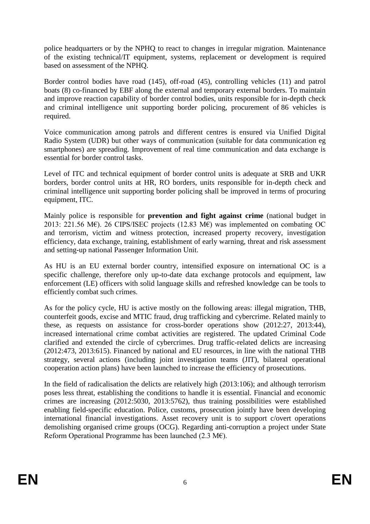police headquarters or by the NPHQ to react to changes in irregular migration. Maintenance of the existing technical/IT equipment, systems, replacement or development is required based on assessment of the NPHQ.

Border control bodies have road (145), off-road (45), controlling vehicles (11) and patrol boats (8) co-financed by EBF along the external and temporary external borders. To maintain and improve reaction capability of border control bodies, units responsible for in-depth check and criminal intelligence unit supporting border policing, procurement of 86 vehicles is required.

Voice communication among patrols and different centres is ensured via Unified Digital Radio System (UDR) but other ways of communication (suitable for data communication eg smartphones) are spreading. Improvement of real time communication and data exchange is essential for border control tasks.

Level of ITC and technical equipment of border control units is adequate at SRB and UKR borders, border control units at HR, RO borders, units responsible for in-depth check and criminal intelligence unit supporting border policing shall be improved in terms of procuring equipment, ITC.

Mainly police is responsible for **prevention and fight against crime** (national budget in 2013: 221.56 M€). 26 CIPS/ISEC projects (12.83 M€) was implemented on combating OC and terrorism, victim and witness protection, increased property recovery, investigation efficiency, data exchange, training, establishment of early warning, threat and risk assessment and setting-up national Passenger Information Unit.

As HU is an EU external border country, intensified exposure on international OC is a specific challenge, therefore only up-to-date data exchange protocols and equipment, law enforcement (LE) officers with solid language skills and refreshed knowledge can be tools to efficiently combat such crimes.

As for the policy cycle, HU is active mostly on the following areas: illegal migration, THB, counterfeit goods, excise and MTIC fraud, drug trafficking and cybercrime. Related mainly to these, as requests on assistance for cross-border operations show (2012:27, 2013:44), increased international crime combat activities are registered. The updated Criminal Code clarified and extended the circle of cybercrimes. Drug traffic-related delicts are increasing (2012:473, 2013:615). Financed by national and EU resources, in line with the national THB strategy, several actions (including joint investigation teams (JIT), bilateral operational cooperation action plans) have been launched to increase the efficiency of prosecutions.

In the field of radicalisation the delicts are relatively high (2013:106); and although terrorism poses less threat, establishing the conditions to handle it is essential. Financial and economic crimes are increasing (2012:5030, 2013:5762), thus training possibilities were established enabling field-specific education. Police, customs, prosecution jointly have been developing international financial investigations. Asset recovery unit is to support c/overt operations demolishing organised crime groups (OCG). Regarding anti-corruption a project under State Reform Operational Programme has been launched (2.3 M€).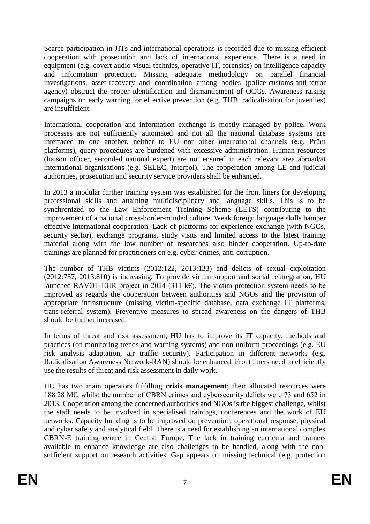Scarce participation in JITs and international operations is recorded due to missing efficient cooperation with prosecution and lack of international experience. There is a need in equipment (e.g. covert audio-visual technics, operative IT, forensics) on intelligence capacity and information protection. Missing adequate methodology on parallel financial investigations, asset-recovery and coordination among bodies (police-customs-anti-terror agency) obstruct the proper identification and dismantlement of OCGs. Awareness raising campaigns on early warning for effective prevention (e.g. THB, radicalisation for juveniles) are insufficient.

International cooperation and information exchange is mostly managed by police. Work processes are not sufficiently automated and not all the national database systems are interfaced to one another, neither to EU nor other international channels (e.g. Prüm platforms), query procedures are burdened with excessive administration. Human resources (liaison officer, seconded national expert) are not ensured in each relevant area abroad/at international organisations (e.g. SELEC, Interpol). The cooperation among LE and judicial authorities, prosecution and security service providers shall be enhanced.

In 2013 a modular further training system was established for the front liners for developing professional skills and attaining multidisciplinary and language skills. This is to be synchronized to the Law Enforcement Training Scheme (LETS) contributing to the improvement of a national cross-border-minded culture. Weak foreign language skills hamper effective international cooperation. Lack of platforms for experience exchange (with NGOs, security sector), exchange programs, study visits and limited access to the latest training material along with the low number of researches also hinder cooperation. Up-to-date trainings are planned for practitioners on e.g. cyber-crimes, anti-corruption.

The number of THB victims (2012:122, 2013:133) and delicts of sexual exploitation (2012:737, 2013:810) is increasing. To provide victim support and social reintegration, HU launched RAVOT-EUR project in 2014 (311 k€). The victim protection system needs to be improved as regards the cooperation between authorities and NGOs and the provision of appropriate infrastructure (missing victim-specific database, data exchange IT platforms, trans-referral system). Preventive measures to spread awareness on the dangers of THB should be further increased.

In terms of threat and risk assessment, HU has to improve its IT capacity, methods and practices (on monitoring trends and warning systems) and non-uniform proceedings (e.g. EU risk analysis adaptation, air traffic security). Participation in different networks (e.g. Radicalisation Awareness Network-RAN) should be enhanced. Front liners need to efficiently use the results of threat and risk assessment in daily work.

HU has two main operators fulfilling **crisis management**; their allocated resources were 188.28 M€, whilst the number of CBRN crimes and cybersecurity delicts were 73 and 652 in 2013. Cooperation among the concerned authorities and NGOs is the biggest challenge, whilst the staff needs to be involved in specialised trainings, conferences and the work of EU networks. Capacity building is to be improved on prevention, operational response, physical and cyber safety and analytical field. There is a need for establishing an international complex CBRN-E training centre in Central Europe. The lack in training curricula and trainers available to enhance knowledge are also challenges to be handled, along with the nonsufficient support on research activities. Gap appears on missing technical (e.g. protection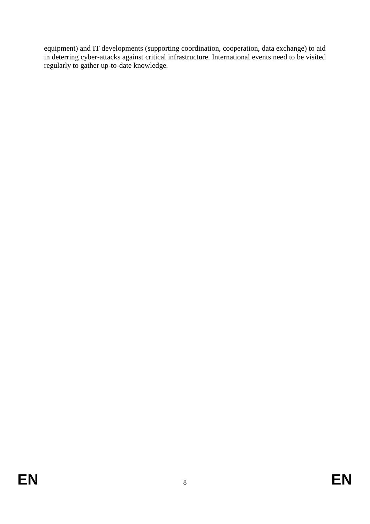equipment) and IT developments (supporting coordination, cooperation, data exchange) to aid in deterring cyber-attacks against critical infrastructure. International events need to be visited regularly to gather up-to-date knowledge.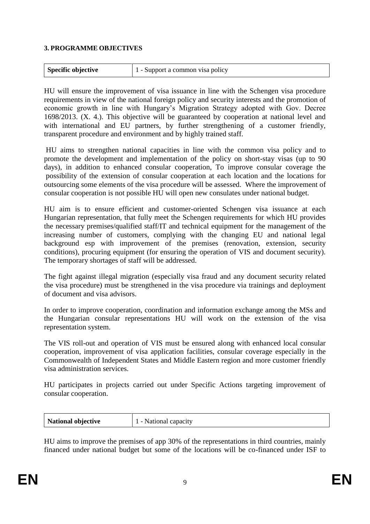#### **3. PROGRAMME OBJECTIVES**

| Specific objective | 1 - Support a common visa policy |
|--------------------|----------------------------------|
|--------------------|----------------------------------|

HU will ensure the improvement of visa issuance in line with the Schengen visa procedure requirements in view of the national foreign policy and security interests and the promotion of economic growth in line with Hungary's Migration Strategy adopted with Gov. Decree 1698/2013. (X. 4.). This objective will be guaranteed by cooperation at national level and with international and EU partners, by further strengthening of a customer friendly, transparent procedure and environment and by highly trained staff.

HU aims to strengthen national capacities in line with the common visa policy and to promote the development and implementation of the policy on short-stay visas (up to 90 days), in addition to enhanced consular cooperation, To improve consular coverage the possibility of the extension of consular cooperation at each location and the locations for outsourcing some elements of the visa procedure will be assessed. Where the improvement of consular cooperation is not possible HU will open new consulates under national budget.

HU aim is to ensure efficient and customer-oriented Schengen visa issuance at each Hungarian representation, that fully meet the Schengen requirements for which HU provides the necessary premises/qualified staff/IT and technical equipment for the management of the increasing number of customers, complying with the changing EU and national legal background esp with improvement of the premises (renovation, extension, security conditions), procuring equipment (for ensuring the operation of VIS and document security). The temporary shortages of staff will be addressed.

The fight against illegal migration (especially visa fraud and any document security related the visa procedure) must be strengthened in the visa procedure via trainings and deployment of document and visa advisors.

In order to improve cooperation, coordination and information exchange among the MSs and the Hungarian consular representations HU will work on the extension of the visa representation system.

The VIS roll-out and operation of VIS must be ensured along with enhanced local consular cooperation, improvement of visa application facilities, consular coverage especially in the Commonwealth of Independent States and Middle Eastern region and more customer friendly visa administration services.

HU participates in projects carried out under Specific Actions targeting improvement of consular cooperation.

| National objective<br>1 - National capacity |
|---------------------------------------------|
|---------------------------------------------|

HU aims to improve the premises of app 30% of the representations in third countries, mainly financed under national budget but some of the locations will be co-financed under ISF to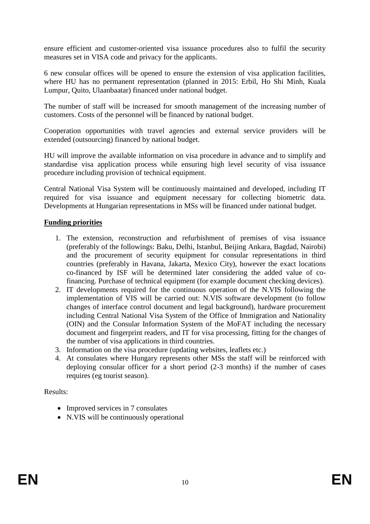ensure efficient and customer-oriented visa issuance procedures also to fulfil the security measures set in VISA code and privacy for the applicants.

6 new consular offices will be opened to ensure the extension of visa application facilities, where HU has no permanent representation (planned in 2015: Erbil, Ho Shi Minh, Kuala Lumpur, Quito, Ulaanbaatar) financed under national budget.

The number of staff will be increased for smooth management of the increasing number of customers. Costs of the personnel will be financed by national budget.

Cooperation opportunities with travel agencies and external service providers will be extended (outsourcing) financed by national budget.

HU will improve the available information on visa procedure in advance and to simplify and standardise visa application process while ensuring high level security of visa issuance procedure including provision of technical equipment.

Central National Visa System will be continuously maintained and developed, including IT required for visa issuance and equipment necessary for collecting biometric data. Developments at Hungarian representations in MSs will be financed under national budget.

## **Funding priorities**

- 1. The extension, reconstruction and refurbishment of premises of visa issuance (preferably of the followings: Baku, Delhi, Istanbul, Beijing Ankara, Bagdad, Nairobi) and the procurement of security equipment for consular representations in third countries (preferably in Havana, Jakarta, Mexico City), however the exact locations co-financed by ISF will be determined later considering the added value of cofinancing. Purchase of technical equipment (for example document checking devices).
- 2. IT developments required for the continuous operation of the N.VIS following the implementation of VIS will be carried out: N.VIS software development (to follow changes of interface control document and legal background), hardware procurement including Central National Visa System of the Office of Immigration and Nationality (OIN) and the Consular Information System of the MoFAT including the necessary document and fingerprint readers, and IT for visa processing, fitting for the changes of the number of visa applications in third countries.
- 3. Information on the visa procedure (updating websites, leaflets etc.)
- 4. At consulates where Hungary represents other MSs the staff will be reinforced with deploying consular officer for a short period (2-3 months) if the number of cases requires (eg tourist season).

## Results:

- Improved services in 7 consulates
- N.VIS will be continuously operational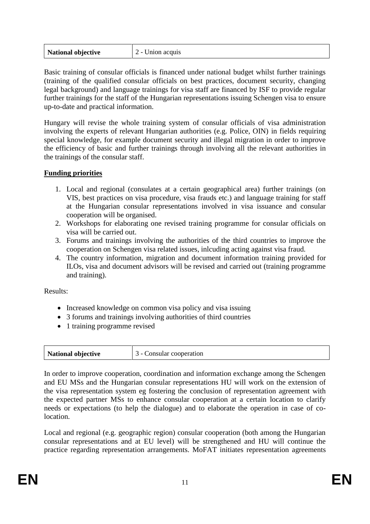Basic training of consular officials is financed under national budget whilst further trainings (training of the qualified consular officials on best practices, document security, changing legal background) and language trainings for visa staff are financed by ISF to provide regular further trainings for the staff of the Hungarian representations issuing Schengen visa to ensure up-to-date and practical information.

Hungary will revise the whole training system of consular officials of visa administration involving the experts of relevant Hungarian authorities (e.g. Police, OIN) in fields requiring special knowledge, for example document security and illegal migration in order to improve the efficiency of basic and further trainings through involving all the relevant authorities in the trainings of the consular staff.

## **Funding priorities**

- 1. Local and regional (consulates at a certain geographical area) further trainings (on VIS, best practices on visa procedure, visa frauds etc.) and language training for staff at the Hungarian consular representations involved in visa issuance and consular cooperation will be organised.
- 2. Workshops for elaborating one revised training programme for consular officials on visa will be carried out.
- 3. Forums and trainings involving the authorities of the third countries to improve the cooperation on Schengen visa related issues, inlcuding acting against visa fraud.
- 4. The country information, migration and document information training provided for ILOs, visa and document advisors will be revised and carried out (training programme and training).

Results:

- Increased knowledge on common visa policy and visa issuing
- 3 forums and trainings involving authorities of third countries
- 1 training programme revised

| National objective | 3 - Consular cooperation |
|--------------------|--------------------------|
|--------------------|--------------------------|

In order to improve cooperation, coordination and information exchange among the Schengen and EU MSs and the Hungarian consular representations HU will work on the extension of the visa representation system eg fostering the conclusion of representation agreement with the expected partner MSs to enhance consular cooperation at a certain location to clarify needs or expectations (to help the dialogue) and to elaborate the operation in case of colocation.

Local and regional (e.g. geographic region) consular cooperation (both among the Hungarian consular representations and at EU level) will be strengthened and HU will continue the practice regarding representation arrangements. MoFAT initiates representation agreements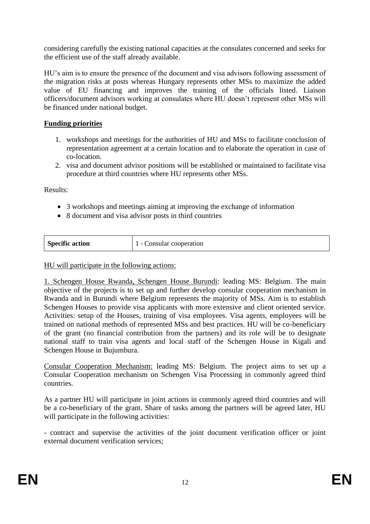considering carefully the existing national capacities at the consulates concerned and seeks for the efficient use of the staff already available.

HU's aim is to ensure the presence of the document and visa advisors following assessment of the migration risks at posts whereas Hungary represents other MSs to maximize the added value of EU financing and improves the training of the officials listed. Liaison officers/document advisors working at consulates where HU doesn't represent other MSs will be financed under national budget.

# **Funding priorities**

- 1. workshops and meetings for the authorities of HU and MSs to facilitate conclusion of representation agreement at a certain location and to elaborate the operation in case of co-location.
- 2. visa and document advisor positions will be established or maintained to facilitate visa procedure at third countries where HU represents other MSs.

Results:

- 3 workshops and meetings aiming at improving the exchange of information
- 8 document and visa advisor posts in third countries

| <b>Specific action</b> | Consular cooperation<br>$\overline{\phantom{0}}$ |
|------------------------|--------------------------------------------------|
|------------------------|--------------------------------------------------|

#### HU will participate in the following actions:

1. Schengen House Rwanda, Schengen House Burundi: leading MS: Belgium. The main objective of the projects is to set up and further develop consular cooperation mechanism in Rwanda and in Burundi where Belgium represents the majority of MSs. Aim is to establish Schengen Houses to provide visa applicants with more extensive and client oriented service. Activities: setup of the Houses, training of visa employees. Visa agents, employees will be trained on national methods of represented MSs and best practices. HU will be co-beneficiary of the grant (no financial contribution from the partners) and its role will be to designate national staff to train visa agents and local staff of the Schengen House in Kigali and Schengen House in Bujumbura.

Consular Cooperation Mechanism: leading MS: Belgium. The project aims to set up a Consular Cooperation mechanism on Schengen Visa Processing in commonly agreed third countries.

As a partner HU will participate in joint actions in commonly agreed third countries and will be a co-beneficiary of the grant. Share of tasks among the partners will be agreed later, HU will participate in the following activities:

- contract and supervise the activities of the joint document verification officer or joint external document verification services;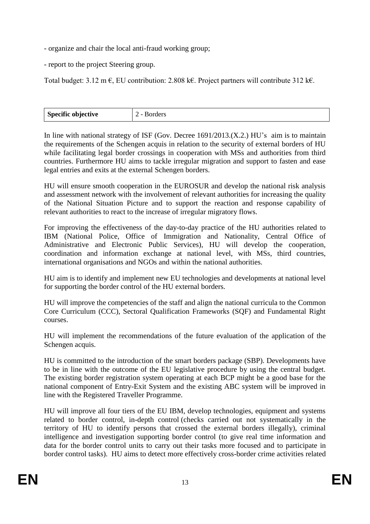- organize and chair the local anti-fraud working group;

- report to the project Steering group.

Total budget:  $3.12 \text{ m} \in$ , EU contribution:  $2.808 \text{ k} \in$ . Project partners will contribute  $312 \text{ k} \in$ .

| <b>Specific objective</b> | $\overline{\phantom{0}}$ |
|---------------------------|--------------------------|
| ٠.                        |                          |
|                           |                          |

In line with national strategy of ISF (Gov. Decree 1691/2013.(X.2.) HU's aim is to maintain the requirements of the Schengen acquis in relation to the security of external borders of HU while facilitating legal border crossings in cooperation with MSs and authorities from third countries. Furthermore HU aims to tackle irregular migration and support to fasten and ease legal entries and exits at the external Schengen borders.

HU will ensure smooth cooperation in the EUROSUR and develop the national risk analysis and assessment network with the involvement of relevant authorities for increasing the quality of the National Situation Picture and to support the reaction and response capability of relevant authorities to react to the increase of irregular migratory flows.

For improving the effectiveness of the day-to-day practice of the HU authorities related to IBM (National Police, Office of Immigration and Nationality, Central Office of Administrative and Electronic Public Services), HU will develop the cooperation, coordination and information exchange at national level, with MSs, third countries, international organisations and NGOs and within the national authorities.

HU aim is to identify and implement new EU technologies and developments at national level for supporting the border control of the HU external borders.

HU will improve the competencies of the staff and align the national curricula to the Common Core Curriculum (CCC), Sectoral Qualification Frameworks (SQF) and Fundamental Right courses.

HU will implement the recommendations of the future evaluation of the application of the Schengen acquis.

HU is committed to the introduction of the smart borders package (SBP). Developments have to be in line with the outcome of the EU legislative procedure by using the central budget. The existing border registration system operating at each BCP might be a good base for the national component of Entry-Exit System and the existing ABC system will be improved in line with the Registered Traveller Programme.

HU will improve all four tiers of the EU IBM, develop technologies, equipment and systems related to border control, in-depth control (checks carried out not systematically in the territory of HU to identify persons that crossed the external borders illegally), criminal intelligence and investigation supporting border control (to give real time information and data for the border control units to carry out their tasks more focused and to participate in border control tasks). HU aims to detect more effectively cross-border crime activities related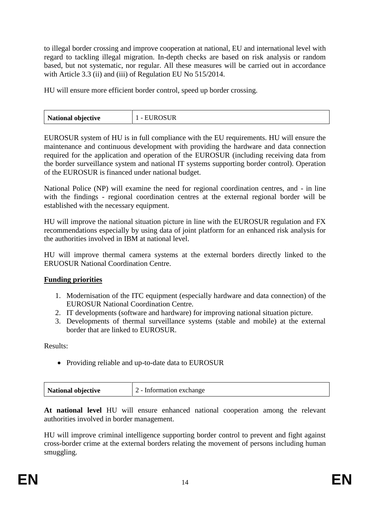to illegal border crossing and improve cooperation at national, EU and international level with regard to tackling illegal migration. In-depth checks are based on risk analysis or random based, but not systematic, nor regular. All these measures will be carried out in accordance with Article 3.3 (ii) and (iii) of Regulation EU No 515/2014.

HU will ensure more efficient border control, speed up border crossing.

|  |  | National objective |  |
|--|--|--------------------|--|
|--|--|--------------------|--|

EUROSUR system of HU is in full compliance with the EU requirements. HU will ensure the maintenance and continuous development with providing the hardware and data connection required for the application and operation of the EUROSUR (including receiving data from the border surveillance system and national IT systems supporting border control). Operation of the EUROSUR is financed under national budget.

National Police (NP) will examine the need for regional coordination centres, and - in line with the findings - regional coordination centres at the external regional border will be established with the necessary equipment.

HU will improve the national situation picture in line with the EUROSUR regulation and FX recommendations especially by using data of joint platform for an enhanced risk analysis for the authorities involved in IBM at national level.

HU will improve thermal camera systems at the external borders directly linked to the ERUOSUR National Coordination Centre.

## **Funding priorities**

- 1. Modernisation of the ITC equipment (especially hardware and data connection) of the EUROSUR National Coordination Centre.
- 2. IT developments (software and hardware) for improving national situation picture.
- 3. Developments of thermal surveillance systems (stable and mobile) at the external border that are linked to EUROSUR.

Results:

• Providing reliable and up-to-date data to EUROSUR

| National objective | 2 - Information exchange |
|--------------------|--------------------------|
|                    |                          |

**At national level** HU will ensure enhanced national cooperation among the relevant authorities involved in border management.

HU will improve criminal intelligence supporting border control to prevent and fight against cross-border crime at the external borders relating the movement of persons including human smuggling.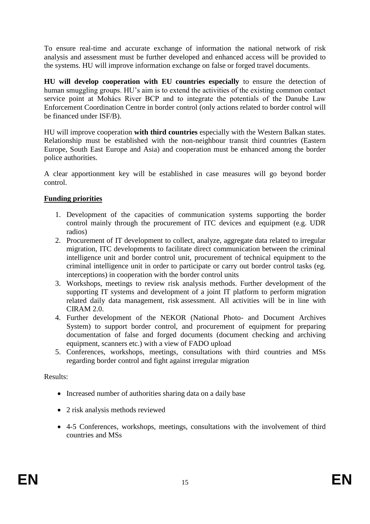To ensure real-time and accurate exchange of information the national network of risk analysis and assessment must be further developed and enhanced access will be provided to the systems. HU will improve information exchange on false or forged travel documents.

**HU will develop cooperation with EU countries especially** to ensure the detection of human smuggling groups. HU's aim is to extend the activities of the existing common contact service point at Mohács River BCP and to integrate the potentials of the Danube Law Enforcement Coordination Centre in border control (only actions related to border control will be financed under ISF/B).

HU will improve cooperation **with third countries** especially with the Western Balkan states. Relationship must be established with the non-neighbour transit third countries (Eastern Europe, South East Europe and Asia) and cooperation must be enhanced among the border police authorities.

A clear apportionment key will be established in case measures will go beyond border control.

# **Funding priorities**

- 1. Development of the capacities of communication systems supporting the border control mainly through the procurement of ITC devices and equipment (e.g. UDR radios)
- 2. Procurement of IT development to collect, analyze, aggregate data related to irregular migration, ITC developments to facilitate direct communication between the criminal intelligence unit and border control unit, procurement of technical equipment to the criminal intelligence unit in order to participate or carry out border control tasks (eg. interceptions) in cooperation with the border control units
- 3. Workshops, meetings to review risk analysis methods. Further development of the supporting IT systems and development of a joint IT platform to perform migration related daily data management, risk assessment. All activities will be in line with CIRAM 2.0.
- 4. Further development of the NEKOR (National Photo- and Document Archives System) to support border control, and procurement of equipment for preparing documentation of false and forged documents (document checking and archiving equipment, scanners etc.) with a view of FADO upload
- 5. Conferences, workshops, meetings, consultations with third countries and MSs regarding border control and fight against irregular migration

## Results:

- Increased number of authorities sharing data on a daily base
- 2 risk analysis methods reviewed
- 4-5 Conferences, workshops, meetings, consultations with the involvement of third countries and MSs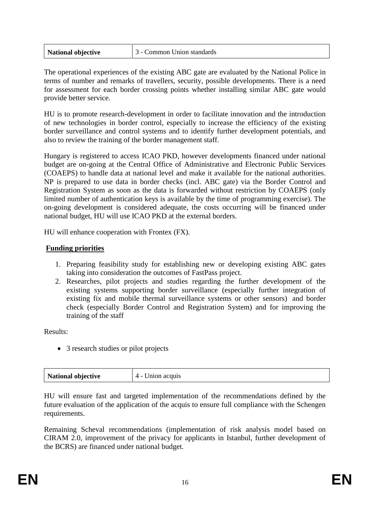| <b>National objective</b> | <sup>1</sup> 3 - Common Union standards |
|---------------------------|-----------------------------------------|
|---------------------------|-----------------------------------------|

The operational experiences of the existing ABC gate are evaluated by the National Police in terms of number and remarks of travellers, security, possible developments. There is a need for assessment for each border crossing points whether installing similar ABC gate would provide better service.

HU is to promote research-development in order to facilitate innovation and the introduction of new technologies in border control, especially to increase the efficiency of the existing border surveillance and control systems and to identify further development potentials, and also to review the training of the border management staff.

Hungary is registered to access ICAO PKD, however developments financed under national budget are on-going at the Central Office of Administrative and Electronic Public Services (COAEPS) to handle data at national level and make it available for the national authorities. NP is prepared to use data in border checks (incl. ABC gate) via the Border Control and Registration System as soon as the data is forwarded without restriction by COAEPS (only limited number of authentication keys is available by the time of programming exercise). The on-going development is considered adequate, the costs occurring will be financed under national budget, HU will use ICAO PKD at the external borders.

HU will enhance cooperation with Frontex (FX).

## **Funding priorities**

- 1. Preparing feasibility study for establishing new or developing existing ABC gates taking into consideration the outcomes of FastPass project.
- 2. Researches, pilot projects and studies regarding the further development of the existing systems supporting border surveillance (especially further integration of existing fix and mobile thermal surveillance systems or other sensors) and border check (especially Border Control and Registration System) and for improving the training of the staff

Results:

• 3 research studies or pilot projects

| National objective<br>Union acquis<br>$\Delta$ - |
|--------------------------------------------------|
|--------------------------------------------------|

HU will ensure fast and targeted implementation of the recommendations defined by the future evaluation of the application of the acquis to ensure full compliance with the Schengen requirements.

Remaining Scheval recommendations (implementation of risk analysis model based on CIRAM 2.0, improvement of the privacy for applicants in Istanbul, further development of the BCRS) are financed under national budget.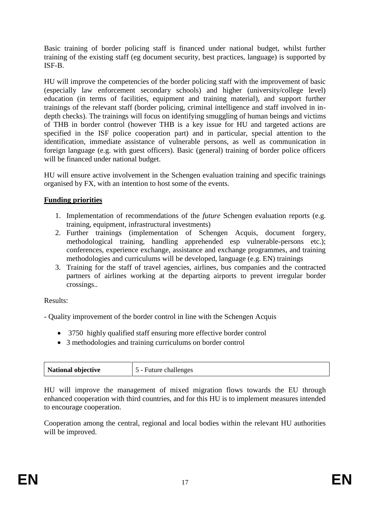Basic training of border policing staff is financed under national budget, whilst further training of the existing staff (eg document security, best practices, language) is supported by ISF-B.

HU will improve the competencies of the border policing staff with the improvement of basic (especially law enforcement secondary schools) and higher (university/college level) education (in terms of facilities, equipment and training material), and support further trainings of the relevant staff (border policing, criminal intelligence and staff involved in indepth checks). The trainings will focus on identifying smuggling of human beings and victims of THB in border control (however THB is a key issue for HU and targeted actions are specified in the ISF police cooperation part) and in particular, special attention to the identification, immediate assistance of vulnerable persons, as well as communication in foreign language (e.g. with guest officers). Basic (general) training of border police officers will be financed under national budget.

HU will ensure active involvement in the Schengen evaluation training and specific trainings organised by FX, with an intention to host some of the events.

# **Funding priorities**

- 1. Implementation of recommendations of the *future* Schengen evaluation reports (e.g. training, equipment, infrastructural investments)
- 2. Further trainings (implementation of Schengen Acquis, document forgery, methodological training, handling apprehended esp vulnerable-persons etc.); conferences, experience exchange, assistance and exchange programmes, and training methodologies and curriculums will be developed, language (e.g. EN) trainings
- 3. Training for the staff of travel agencies, airlines, bus companies and the contracted partners of airlines working at the departing airports to prevent irregular border crossings..

Results:

- Quality improvement of the border control in line with the Schengen Acquis

- 3750 highly qualified staff ensuring more effective border control
- 3 methodologies and training curriculums on border control

| National objective | 5 - Future challenges |
|--------------------|-----------------------|
|                    |                       |

HU will improve the management of mixed migration flows towards the EU through enhanced cooperation with third countries, and for this HU is to implement measures intended to encourage cooperation.

Cooperation among the central, regional and local bodies within the relevant HU authorities will be improved.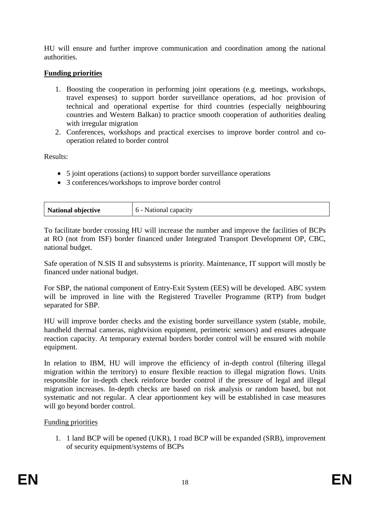HU will ensure and further improve communication and coordination among the national authorities.

# **Funding priorities**

- 1. Boosting the cooperation in performing joint operations (e.g. meetings, workshops, travel expenses) to support border surveillance operations, ad hoc provision of technical and operational expertise for third countries (especially neighbouring countries and Western Balkan) to practice smooth cooperation of authorities dealing with irregular migration
- 2. Conferences, workshops and practical exercises to improve border control and cooperation related to border control

Results:

- 5 joint operations (actions) to support border surveillance operations
- 3 conferences/workshops to improve border control

| <b>National objective</b> | National c.<br>capacity |
|---------------------------|-------------------------|
|---------------------------|-------------------------|

To facilitate border crossing HU will increase the number and improve the facilities of BCPs at RO (not from ISF) border financed under Integrated Transport Development OP, CBC, national budget.

Safe operation of N.SIS II and subsystems is priority. Maintenance, IT support will mostly be financed under national budget.

For SBP, the national component of Entry-Exit System (EES) will be developed. ABC system will be improved in line with the Registered Traveller Programme (RTP) from budget separated for SBP.

HU will improve border checks and the existing border surveillance system (stable, mobile, handheld thermal cameras, nightvision equipment, perimetric sensors) and ensures adequate reaction capacity. At temporary external borders border control will be ensured with mobile equipment.

In relation to IBM, HU will improve the efficiency of in-depth control (filtering illegal migration within the territory) to ensure flexible reaction to illegal migration flows. Units responsible for in-depth check reinforce border control if the pressure of legal and illegal migration increases. In-depth checks are based on risk analysis or random based, but not systematic and not regular. A clear apportionment key will be established in case measures will go beyond border control.

## Funding priorities

1. 1 land BCP will be opened (UKR), 1 road BCP will be expanded (SRB), improvement of security equipment/systems of BCPs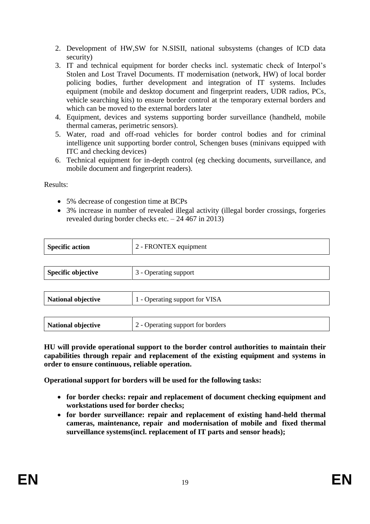2. Development of HW,SW for N.SISII, national subsystems (changes of ICD data security)

- 3. IT and technical equipment for border checks incl. systematic check of Interpol's Stolen and Lost Travel Documents. IT modernisation (network, HW) of local border policing bodies, further development and integration of IT systems. Includes equipment (mobile and desktop document and fingerprint readers, UDR radios, PCs, vehicle searching kits) to ensure border control at the temporary external borders and which can be moved to the external borders later
- 4. Equipment, devices and systems supporting border surveillance (handheld, mobile thermal cameras, perimetric sensors).
- 5. Water, road and off-road vehicles for border control bodies and for criminal intelligence unit supporting border control, Schengen buses (minivans equipped with ITC and checking devices)
- 6. Technical equipment for in-depth control (eg checking documents, surveillance, and mobile document and fingerprint readers).

Results:

- 5% decrease of congestion time at BCPs
- 3% increase in number of revealed illegal activity (illegal border crossings, forgeries revealed during border checks etc. – 24 467 in 2013)

| <b>Specific action</b>    | 2 - FRONTEX equipment             |
|---------------------------|-----------------------------------|
|                           |                                   |
| <b>Specific objective</b> | 3 - Operating support             |
|                           |                                   |
| National objective        | 1 - Operating support for VISA    |
|                           |                                   |
| <b>National objective</b> | 2 - Operating support for borders |

**HU will provide operational support to the border control authorities to maintain their capabilities through repair and replacement of the existing equipment and systems in order to ensure continuous, reliable operation.**

**Operational support for borders will be used for the following tasks:**

- **for border checks: repair and replacement of document checking equipment and workstations used for border checks;**
- **for border surveillance: repair and replacement of existing hand-held thermal cameras, maintenance, repair and modernisation of mobile and fixed thermal surveillance systems(incl. replacement of IT parts and sensor heads);**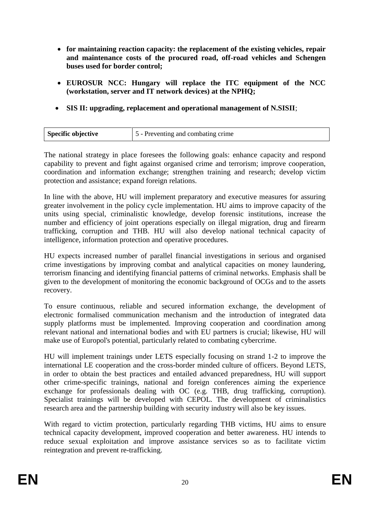- **for maintaining reaction capacity: the replacement of the existing vehicles, repair and maintenance costs of the procured road, off-road vehicles and Schengen buses used for border control;**
- **EUROSUR NCC: Hungary will replace the ITC equipment of the NCC (workstation, server and IT network devices) at the NPHQ;**
- **SIS II: upgrading, replacement and operational management of N.SISII**;

| Specific objective | 5 - Preventing and combating crime |
|--------------------|------------------------------------|
|                    |                                    |

The national strategy in place foresees the following goals: enhance capacity and respond capability to prevent and fight against organised crime and terrorism; improve cooperation, coordination and information exchange; strengthen training and research; develop victim protection and assistance; expand foreign relations.

In line with the above, HU will implement preparatory and executive measures for assuring greater involvement in the policy cycle implementation. HU aims to improve capacity of the units using special, criminalistic knowledge, develop forensic institutions, increase the number and efficiency of joint operations especially on illegal migration, drug and firearm trafficking, corruption and THB. HU will also develop national technical capacity of intelligence, information protection and operative procedures.

HU expects increased number of parallel financial investigations in serious and organised crime investigations by improving combat and analytical capacities on money laundering, terrorism financing and identifying financial patterns of criminal networks. Emphasis shall be given to the development of monitoring the economic background of OCGs and to the assets recovery.

To ensure continuous, reliable and secured information exchange, the development of electronic formalised communication mechanism and the introduction of integrated data supply platforms must be implemented. Improving cooperation and coordination among relevant national and international bodies and with EU partners is crucial; likewise, HU will make use of Europol's potential, particularly related to combating cybercrime.

HU will implement trainings under LETS especially focusing on strand 1-2 to improve the international LE cooperation and the cross-border minded culture of officers. Beyond LETS, in order to obtain the best practices and entailed advanced preparedness, HU will support other crime-specific trainings, national and foreign conferences aiming the experience exchange for professionals dealing with OC (e.g. THB, drug trafficking, corruption). Specialist trainings will be developed with CEPOL. The development of criminalistics research area and the partnership building with security industry will also be key issues.

With regard to victim protection, particularly regarding THB victims, HU aims to ensure technical capacity development, improved cooperation and better awareness. HU intends to reduce sexual exploitation and improve assistance services so as to facilitate victim reintegration and prevent re-trafficking.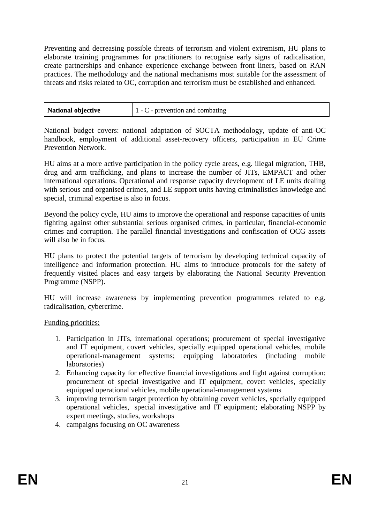Preventing and decreasing possible threats of terrorism and violent extremism, HU plans to elaborate training programmes for practitioners to recognise early signs of radicalisation, create partnerships and enhance experience exchange between front liners, based on RAN practices. The methodology and the national mechanisms most suitable for the assessment of threats and risks related to OC, corruption and terrorism must be established and enhanced.

| National objective | $1 - C$ - prevention and combating |
|--------------------|------------------------------------|
|                    |                                    |

National budget covers: national adaptation of SOCTA methodology, update of anti-OC handbook, employment of additional asset-recovery officers, participation in EU Crime Prevention Network.

HU aims at a more active participation in the policy cycle areas, e.g. illegal migration, THB, drug and arm trafficking, and plans to increase the number of JITs, EMPACT and other international operations. Operational and response capacity development of LE units dealing with serious and organised crimes, and LE support units having criminalistics knowledge and special, criminal expertise is also in focus.

Beyond the policy cycle, HU aims to improve the operational and response capacities of units fighting against other substantial serious organised crimes, in particular, financial-economic crimes and corruption. The parallel financial investigations and confiscation of OCG assets will also be in focus.

HU plans to protect the potential targets of terrorism by developing technical capacity of intelligence and information protection. HU aims to introduce protocols for the safety of frequently visited places and easy targets by elaborating the National Security Prevention Programme (NSPP).

HU will increase awareness by implementing prevention programmes related to e.g. radicalisation, cybercrime.

Funding priorities:

- 1. Participation in JITs, international operations; procurement of special investigative and IT equipment, covert vehicles, specially equipped operational vehicles, mobile operational-management systems; equipping laboratories (including mobile laboratories)
- 2. Enhancing capacity for effective financial investigations and fight against corruption: procurement of special investigative and IT equipment, covert vehicles, specially equipped operational vehicles, mobile operational-management systems
- 3. improving terrorism target protection by obtaining covert vehicles, specially equipped operational vehicles, special investigative and IT equipment; elaborating NSPP by expert meetings, studies, workshops
- 4. campaigns focusing on OC awareness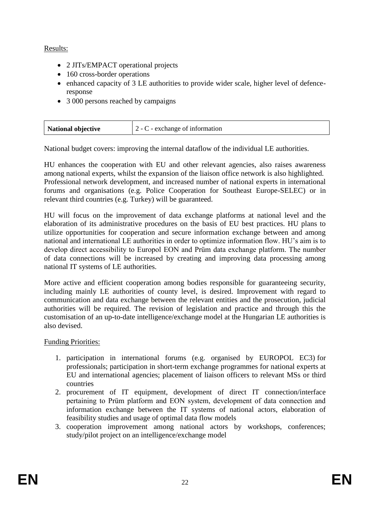# Results:

- 2 JITs/EMPACT operational projects
- 160 cross-border operations
- enhanced capacity of 3 LE authorities to provide wider scale, higher level of defenceresponse
- 3 000 persons reached by campaigns

| National objective | $2 - C$ - exchange of information |
|--------------------|-----------------------------------|
|--------------------|-----------------------------------|

National budget covers: improving the internal dataflow of the individual LE authorities.

HU enhances the cooperation with EU and other relevant agencies, also raises awareness among national experts, whilst the expansion of the liaison office network is also highlighted. Professional network development, and increased number of national experts in international forums and organisations (e.g. Police Cooperation for Southeast Europe-SELEC) or in relevant third countries (e.g. Turkey) will be guaranteed.

HU will focus on the improvement of data exchange platforms at national level and the elaboration of its administrative procedures on the basis of EU best practices. HU plans to utilize opportunities for cooperation and secure information exchange between and among national and international LE authorities in order to optimize information flow. HU's aim is to develop direct accessibility to Europol EON and Prüm data exchange platform. The number of data connections will be increased by creating and improving data processing among national IT systems of LE authorities.

More active and efficient cooperation among bodies responsible for guaranteeing security, including mainly LE authorities of county level, is desired. Improvement with regard to communication and data exchange between the relevant entities and the prosecution, judicial authorities will be required. The revision of legislation and practice and through this the customisation of an up-to-date intelligence/exchange model at the Hungarian LE authorities is also devised.

# Funding Priorities:

- 1. participation in international forums (e.g. organised by EUROPOL EC3) for professionals; participation in short-term exchange programmes for national experts at EU and international agencies; placement of liaison officers to relevant MSs or third countries
- 2. procurement of IT equipment, development of direct IT connection/interface pertaining to Prüm platform and EON system, development of data connection and information exchange between the IT systems of national actors, elaboration of feasibility studies and usage of optimal data flow models
- 3. cooperation improvement among national actors by workshops, conferences; study/pilot project on an intelligence/exchange model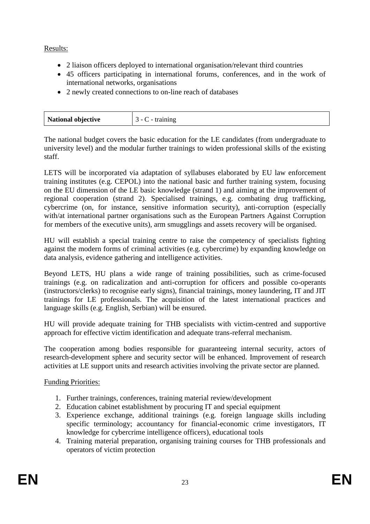# Results:

- 2 liaison officers deployed to international organisation/relevant third countries
- 45 officers participating in international forums, conferences, and in the work of international networks, organisations
- 2 newly created connections to on-line reach of databases

| National objective | . |
|--------------------|---|

The national budget covers the basic education for the LE candidates (from undergraduate to university level) and the modular further trainings to widen professional skills of the existing staff.

LETS will be incorporated via adaptation of syllabuses elaborated by EU law enforcement training institutes (e.g. CEPOL) into the national basic and further training system, focusing on the EU dimension of the LE basic knowledge (strand 1) and aiming at the improvement of regional cooperation (strand 2). Specialised trainings, e.g. combating drug trafficking, cybercrime (on, for instance, sensitive information security), anti-corruption (especially with/at international partner organisations such as the European Partners Against Corruption for members of the executive units), arm smugglings and assets recovery will be organised.

HU will establish a special training centre to raise the competency of specialists fighting against the modern forms of criminal activities (e.g. cybercrime) by expanding knowledge on data analysis, evidence gathering and intelligence activities.

Beyond LETS, HU plans a wide range of training possibilities, such as crime-focused trainings (e.g. on radicalization and anti-corruption for officers and possible co-operants (instructors/clerks) to recognise early signs), financial trainings, money laundering, IT and JIT trainings for LE professionals. The acquisition of the latest international practices and language skills (e.g. English, Serbian) will be ensured.

HU will provide adequate training for THB specialists with victim-centred and supportive approach for effective victim identification and adequate trans-referral mechanism.

The cooperation among bodies responsible for guaranteeing internal security, actors of research-development sphere and security sector will be enhanced. Improvement of research activities at LE support units and research activities involving the private sector are planned.

Funding Priorities:

- 1. Further trainings, conferences, training material review/development
- 2. Education cabinet establishment by procuring IT and special equipment
- 3. Experience exchange, additional trainings (e.g. foreign language skills including specific terminology; accountancy for financial-economic crime investigators, IT knowledge for cybercrime intelligence officers), educational tools
- 4. Training material preparation, organising training courses for THB professionals and operators of victim protection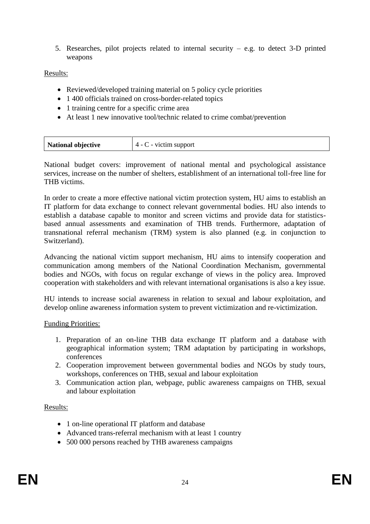5. Researches, pilot projects related to internal security – e.g. to detect 3-D printed weapons

## Results:

- Reviewed/developed training material on 5 policy cycle priorities
- 1 400 officials trained on cross-border-related topics
- 1 training centre for a specific crime area
- At least 1 new innovative tool/technic related to crime combat/prevention

| National objective | $\degree$ - victim support<br>$4 - 0$ |
|--------------------|---------------------------------------|
|--------------------|---------------------------------------|

National budget covers: improvement of national mental and psychological assistance services, increase on the number of shelters, establishment of an international toll-free line for THB victims.

In order to create a more effective national victim protection system, HU aims to establish an IT platform for data exchange to connect relevant governmental bodies. HU also intends to establish a database capable to monitor and screen victims and provide data for statisticsbased annual assessments and examination of THB trends. Furthermore, adaptation of transnational referral mechanism (TRM) system is also planned (e.g. in conjunction to Switzerland).

Advancing the national victim support mechanism, HU aims to intensify cooperation and communication among members of the National Coordination Mechanism, governmental bodies and NGOs, with focus on regular exchange of views in the policy area. Improved cooperation with stakeholders and with relevant international organisations is also a key issue.

HU intends to increase social awareness in relation to sexual and labour exploitation, and develop online awareness information system to prevent victimization and re-victimization.

## Funding Priorities:

- 1. Preparation of an on-line THB data exchange IT platform and a database with geographical information system; TRM adaptation by participating in workshops, conferences
- 2. Cooperation improvement between governmental bodies and NGOs by study tours, workshops, conferences on THB, sexual and labour exploitation
- 3. Communication action plan, webpage, public awareness campaigns on THB, sexual and labour exploitation

## Results:

- 1 on-line operational IT platform and database
- Advanced trans-referral mechanism with at least 1 country
- 500 000 persons reached by THB awareness campaigns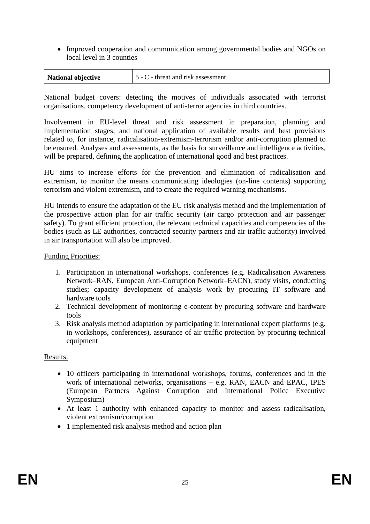• Improved cooperation and communication among governmental bodies and NGOs on local level in 3 counties

| 5 - C - threat and risk assessment<br>National objective |
|----------------------------------------------------------|
|----------------------------------------------------------|

National budget covers: detecting the motives of individuals associated with terrorist organisations, competency development of anti-terror agencies in third countries.

Involvement in EU-level threat and risk assessment in preparation, planning and implementation stages; and national application of available results and best provisions related to, for instance, radicalisation-extremism-terrorism and/or anti-corruption planned to be ensured. Analyses and assessments, as the basis for surveillance and intelligence activities, will be prepared, defining the application of international good and best practices.

HU aims to increase efforts for the prevention and elimination of radicalisation and extremism, to monitor the means communicating ideologies (on-line contents) supporting terrorism and violent extremism, and to create the required warning mechanisms.

HU intends to ensure the adaptation of the EU risk analysis method and the implementation of the prospective action plan for air traffic security (air cargo protection and air passenger safety). To grant efficient protection, the relevant technical capacities and competencies of the bodies (such as LE authorities, contracted security partners and air traffic authority) involved in air transportation will also be improved.

#### Funding Priorities:

- 1. Participation in international workshops, conferences (e.g. Radicalisation Awareness Network–RAN, European Anti-Corruption Network–EACN), study visits, conducting studies; capacity development of analysis work by procuring IT software and hardware tools
- 2. Technical development of monitoring e-content by procuring software and hardware tools
- 3. Risk analysis method adaptation by participating in international expert platforms (e.g. in workshops, conferences), assurance of air traffic protection by procuring technical equipment

#### Results:

- 10 officers participating in international workshops, forums, conferences and in the work of international networks, organisations – e.g. RAN, EACN and EPAC, IPES (European Partners Against Corruption and International Police Executive Symposium)
- At least 1 authority with enhanced capacity to monitor and assess radicalisation, violent extremism/corruption
- 1 implemented risk analysis method and action plan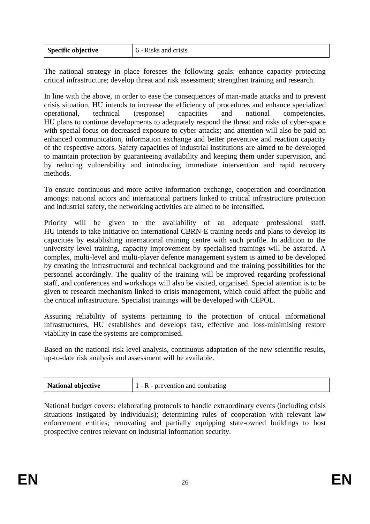| <b>Specific objective</b> | 6 - Risks and crisis |
|---------------------------|----------------------|

The national strategy in place foresees the following goals: enhance capacity protecting critical infrastructure; develop threat and risk assessment; strengthen training and research.

In line with the above, in order to ease the consequences of man-made attacks and to prevent crisis situation, HU intends to increase the efficiency of procedures and enhance specialized operational, technical (response) capacities and national competencies. HU plans to continue developments to adequately respond the threat and risks of cyber-space with special focus on decreased exposure to cyber-attacks; and attention will also be paid on enhanced communication, information exchange and better preventive and reaction capacity of the respective actors. Safety capacities of industrial institutions are aimed to be developed to maintain protection by guaranteeing availability and keeping them under supervision, and by reducing vulnerability and introducing immediate intervention and rapid recovery methods.

To ensure continuous and more active information exchange, cooperation and coordination amongst national actors and international partners linked to critical infrastructure protection and industrial safety, the networking activities are aimed to be intensified.

Priority will be given to the availability of an adequate professional staff. HU intends to take initiative on international CBRN-E training needs and plans to develop its capacities by establishing international training centre with such profile. In addition to the university level training, capacity improvement by specialised trainings will be assured. A complex, multi-level and multi-player defence management system is aimed to be developed by creating the infrastructural and technical background and the training possibilities for the personnel accordingly. The quality of the training will be improved regarding professional staff, and conferences and workshops will also be visited, organised. Special attention is to be given to research mechanism linked to crisis management, which could affect the public and the critical infrastructure. Specialist trainings will be developed with CEPOL.

Assuring reliability of systems pertaining to the protection of critical informational infrastructures, HU establishes and develops fast, effective and loss-minimising restore viability in case the systems are compromised.

Based on the national risk level analysis, continuous adaptation of the new scientific results, up-to-date risk analysis and assessment will be available.

| National objective | $1 - R$ - prevention and combating |
|--------------------|------------------------------------|
|--------------------|------------------------------------|

National budget covers: elaborating protocols to handle extraordinary events (including crisis situations instigated by individuals); determining rules of cooperation with relevant law enforcement entities; renovating and partially equipping state-owned buildings to host prospective centres relevant on industrial information security.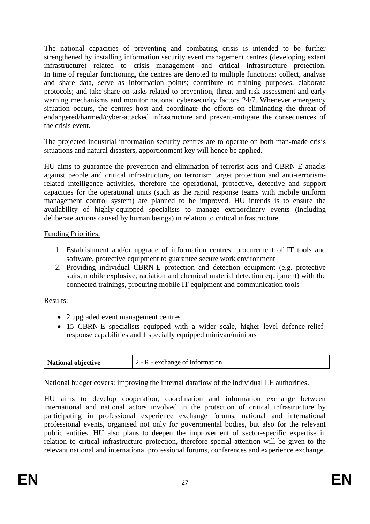The national capacities of preventing and combating crisis is intended to be further strengthened by installing information security event management centres (developing extant infrastructure) related to crisis management and critical infrastructure protection. In time of regular functioning, the centres are denoted to multiple functions: collect, analyse and share data, serve as information points; contribute to training purposes, elaborate protocols; and take share on tasks related to prevention, threat and risk assessment and early warning mechanisms and monitor national cybersecurity factors 24/7. Whenever emergency situation occurs, the centres host and coordinate the efforts on eliminating the threat of endangered/harmed/cyber-attacked infrastructure and prevent-mitigate the consequences of the crisis event.

The projected industrial information security centres are to operate on both man-made crisis situations and natural disasters, apportionment key will hence be applied.

HU aims to guarantee the prevention and elimination of terrorist acts and CBRN-E attacks against people and critical infrastructure, on terrorism target protection and anti-terrorismrelated intelligence activities, therefore the operational, protective, detective and support capacities for the operational units (such as the rapid response teams with mobile uniform management control system) are planned to be improved. HU intends is to ensure the availability of highly-equipped specialists to manage extraordinary events (including deliberate actions caused by human beings) in relation to critical infrastructure.

Funding Priorities:

- 1. Establishment and/or upgrade of information centres: procurement of IT tools and software, protective equipment to guarantee secure work environment
- 2. Providing individual CBRN-E protection and detection equipment (e.g. protective suits, mobile explosive, radiation and chemical material detection equipment) with the connected trainings, procuring mobile IT equipment and communication tools

# Results:

- 2 upgraded event management centres
- 15 CBRN-E specialists equipped with a wider scale, higher level defence-reliefresponse capabilities and 1 specially equipped minivan/minibus

| <b>National objective</b> | $2 - R$ - exchange of information |
|---------------------------|-----------------------------------|
|                           |                                   |

National budget covers: improving the internal dataflow of the individual LE authorities.

HU aims to develop cooperation, coordination and information exchange between international and national actors involved in the protection of critical infrastructure by participating in professional experience exchange forums, national and international professional events, organised not only for governmental bodies, but also for the relevant public entities. HU also plans to deepen the improvement of sector-specific expertise in relation to critical infrastructure protection, therefore special attention will be given to the relevant national and international professional forums, conferences and experience exchange.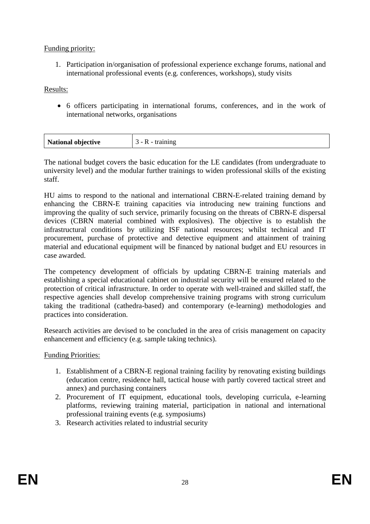# Funding priority:

1. Participation in/organisation of professional experience exchange forums, national and international professional events (e.g. conferences, workshops), study visits

Results:

 6 officers participating in international forums, conferences, and in the work of international networks, organisations

| <b>National objective</b><br>$\overline{\phantom{a}}$ |
|-------------------------------------------------------|
|-------------------------------------------------------|

The national budget covers the basic education for the LE candidates (from undergraduate to university level) and the modular further trainings to widen professional skills of the existing staff.

HU aims to respond to the national and international CBRN-E-related training demand by enhancing the CBRN-E training capacities via introducing new training functions and improving the quality of such service, primarily focusing on the threats of CBRN-E dispersal devices (CBRN material combined with explosives). The objective is to establish the infrastructural conditions by utilizing ISF national resources; whilst technical and IT procurement, purchase of protective and detective equipment and attainment of training material and educational equipment will be financed by national budget and EU resources in case awarded.

The competency development of officials by updating CBRN-E training materials and establishing a special educational cabinet on industrial security will be ensured related to the protection of critical infrastructure. In order to operate with well-trained and skilled staff, the respective agencies shall develop comprehensive training programs with strong curriculum taking the traditional (cathedra-based) and contemporary (e-learning) methodologies and practices into consideration.

Research activities are devised to be concluded in the area of crisis management on capacity enhancement and efficiency (e.g. sample taking technics).

Funding Priorities:

- 1. Establishment of a CBRN-E regional training facility by renovating existing buildings (education centre, residence hall, tactical house with partly covered tactical street and annex) and purchasing containers
- 2. Procurement of IT equipment, educational tools, developing curricula, e-learning platforms, reviewing training material, participation in national and international professional training events (e.g. symposiums)
- 3. Research activities related to industrial security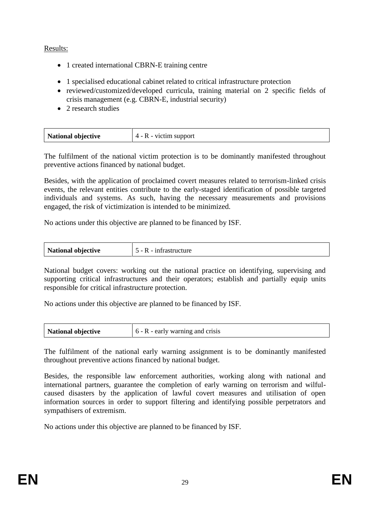# Results:

- 1 created international CBRN-E training centre
- 1 specialised educational cabinet related to critical infrastructure protection
- reviewed/customized/developed curricula, training material on 2 specific fields of crisis management (e.g. CBRN-E, industrial security)
- 2 research studies

| National objective | 4 - R - victim support |
|--------------------|------------------------|
|--------------------|------------------------|

The fulfilment of the national victim protection is to be dominantly manifested throughout preventive actions financed by national budget.

Besides, with the application of proclaimed covert measures related to terrorism-linked crisis events, the relevant entities contribute to the early-staged identification of possible targeted individuals and systems. As such, having the necessary measurements and provisions engaged, the risk of victimization is intended to be minimized.

No actions under this objective are planned to be financed by ISF.

| <b>National objective</b> | $5 - R - infrastructure$ |
|---------------------------|--------------------------|
|---------------------------|--------------------------|

National budget covers: working out the national practice on identifying, supervising and supporting critical infrastructures and their operators; establish and partially equip units responsible for critical infrastructure protection.

No actions under this objective are planned to be financed by ISF.

| $\vert$ 6 - R - early warning and crisis<br>National objective |  |
|----------------------------------------------------------------|--|
|----------------------------------------------------------------|--|

The fulfilment of the national early warning assignment is to be dominantly manifested throughout preventive actions financed by national budget.

Besides, the responsible law enforcement authorities, working along with national and international partners, guarantee the completion of early warning on terrorism and wilfulcaused disasters by the application of lawful covert measures and utilisation of open information sources in order to support filtering and identifying possible perpetrators and sympathisers of extremism.

No actions under this objective are planned to be financed by ISF.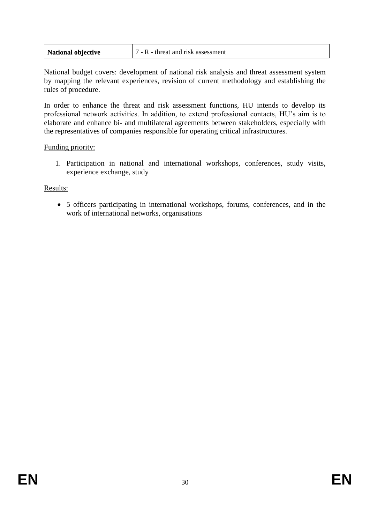| <b>National objective</b> | $\vert$ 7 - R - threat and risk assessment |
|---------------------------|--------------------------------------------|
|---------------------------|--------------------------------------------|

National budget covers: development of national risk analysis and threat assessment system by mapping the relevant experiences, revision of current methodology and establishing the rules of procedure.

In order to enhance the threat and risk assessment functions, HU intends to develop its professional network activities. In addition, to extend professional contacts, HU's aim is to elaborate and enhance bi- and multilateral agreements between stakeholders, especially with the representatives of companies responsible for operating critical infrastructures.

#### Funding priority:

1. Participation in national and international workshops, conferences, study visits, experience exchange, study

## Results:

 5 officers participating in international workshops, forums, conferences, and in the work of international networks, organisations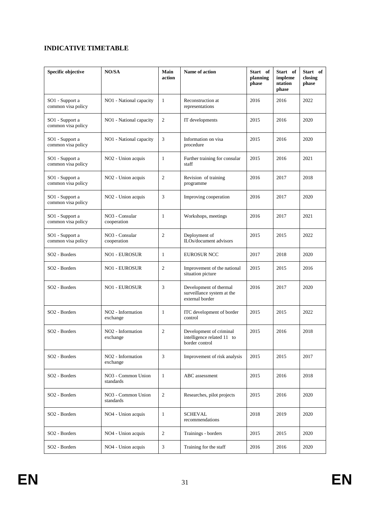## **INDICATIVE TIMETABLE**

| <b>Specific objective</b>             | NO/SA                                     | Main<br>action | Name of action                                                          | Start of<br>planning<br>phase | Start of<br>impleme<br>ntation<br>phase | Start of<br>closing<br>phase |
|---------------------------------------|-------------------------------------------|----------------|-------------------------------------------------------------------------|-------------------------------|-----------------------------------------|------------------------------|
| SO1 - Support a<br>common visa policy | NO1 - National capacity                   | $\mathbf{1}$   | Reconstruction at<br>representations                                    | 2016                          | 2016                                    | 2022                         |
| SO1 - Support a<br>common visa policy | NO1 - National capacity                   | $\overline{c}$ | IT developments                                                         | 2015                          | 2016                                    | 2020                         |
| SO1 - Support a<br>common visa policy | NO1 - National capacity                   | 3              | Information on visa<br>procedure                                        | 2015                          | 2016                                    | 2020                         |
| SO1 - Support a<br>common visa policy | NO <sub>2</sub> - Union acquis            | 1              | Further training for consular<br>staff                                  | 2015                          | 2016                                    | 2021                         |
| SO1 - Support a<br>common visa policy | NO <sub>2</sub> - Union acquis            | $\mathfrak{2}$ | Revision of training<br>programme                                       | 2016                          | 2017                                    | 2018                         |
| SO1 - Support a<br>common visa policy | NO <sub>2</sub> - Union acquis            | 3              | Improving cooperation                                                   | 2016                          | 2017                                    | 2020                         |
| SO1 - Support a<br>common visa policy | NO <sub>3</sub> - Consular<br>cooperation | $\mathbf{1}$   | Workshops, meetings                                                     | 2016                          | 2017                                    | 2021                         |
| SO1 - Support a<br>common visa policy | NO <sub>3</sub> - Consular<br>cooperation | $\overline{c}$ | Deployment of<br>ILOs/document advisors                                 | 2015                          | 2015                                    | 2022                         |
| SO <sub>2</sub> - Borders             | <b>NO1 - EUROSUR</b>                      | $\mathbf{1}$   | <b>EUROSUR NCC</b>                                                      | 2017                          | 2018                                    | 2020                         |
| SO <sub>2</sub> - Borders             | <b>NO1 - EUROSUR</b>                      | $\overline{2}$ | Improvement of the national<br>situation picture                        | 2015                          | 2015                                    | 2016                         |
| SO <sub>2</sub> - Borders             | <b>NO1 - EUROSUR</b>                      | 3              | Development of thermal<br>surveillance system at the<br>external border | 2016                          | 2017                                    | 2020                         |
| SO <sub>2</sub> - Borders             | NO <sub>2</sub> - Information<br>exchange | 1              | ITC development of border<br>control                                    | 2015                          | 2015                                    | 2022                         |
| SO2 - Borders                         | NO <sub>2</sub> - Information<br>exchange | $\overline{2}$ | Development of criminal<br>intelligence related 11 to<br>border control | 2015                          | 2016                                    | 2018                         |
| SO <sub>2</sub> - Borders             | NO <sub>2</sub> - Information<br>exchange | 3              | Improvement of risk analysis                                            | 2015                          | 2015                                    | 2017                         |
| SO <sub>2</sub> - Borders             | NO3 - Common Union<br>standards           | $\mathbf{1}$   | ABC assessment                                                          | 2015                          | 2016                                    | 2018                         |
| SO <sub>2</sub> - Borders             | NO3 - Common Union<br>standards           | 2              | Researches, pilot projects                                              |                               | 2016                                    | 2020                         |
| SO <sub>2</sub> - Borders             | NO <sub>4</sub> - Union acquis            | $\mathbf{1}$   | <b>SCHEVAL</b><br>recommendations                                       |                               | 2019                                    | 2020                         |
| SO2 - Borders                         | NO4 - Union acquis                        | $\mathfrak{2}$ | Trainings - borders                                                     | 2015                          | 2015                                    | 2020                         |
| SO <sub>2</sub> - Borders             | NO4 - Union acquis                        | 3              | Training for the staff                                                  | 2016                          | 2016                                    | 2020                         |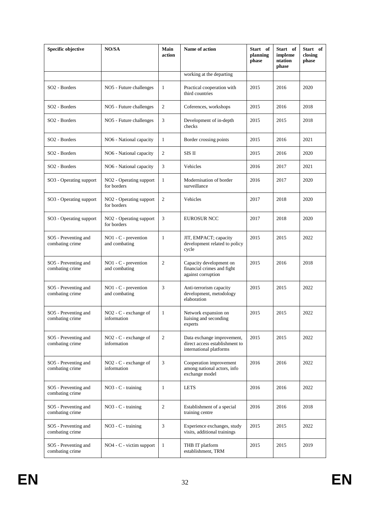| <b>Specific objective</b>               | NO/SA                                              | Main<br>action | Name of action<br>Start of<br>planning<br>phase                                         |      | Start of<br>impleme<br>ntation<br>phase | Start of<br>closing<br>phase |
|-----------------------------------------|----------------------------------------------------|----------------|-----------------------------------------------------------------------------------------|------|-----------------------------------------|------------------------------|
|                                         |                                                    |                | working at the departing                                                                |      |                                         |                              |
| SO <sub>2</sub> - Borders               | NO5 - Future challenges                            | 1              | Practical cooperation with<br>third countries                                           | 2015 | 2016                                    | 2020                         |
| SO2 - Borders                           | NO5 - Future challenges                            | $\mathbf{2}$   | Coferences, workshops                                                                   | 2015 | 2016                                    | 2018                         |
| SO <sub>2</sub> - Borders               | NO5 - Future challenges                            | 3              | Development of in-depth<br>checks                                                       | 2015 | 2015                                    | 2018                         |
| SO <sub>2</sub> - Borders               | NO6 - National capacity                            | 1              | Border crossing points                                                                  | 2015 | 2016                                    | 2021                         |
| SO <sub>2</sub> - Borders               | NO6 - National capacity                            | 2              | SIS II                                                                                  | 2015 | 2016                                    | 2020                         |
| SO <sub>2</sub> - Borders               | NO6 - National capacity                            | 3              | Vehicles                                                                                | 2016 | 2017                                    | 2021                         |
| SO3 - Operating support                 | NO <sub>2</sub> - Operating support<br>for borders | 1              | Modernisation of border<br>surveillance                                                 | 2016 | 2017                                    | 2020                         |
| SO3 - Operating support                 | NO <sub>2</sub> - Operating support<br>for borders | $\mathbf{2}$   | Vehicles                                                                                | 2017 |                                         | 2020                         |
| SO3 - Operating support                 | NO <sub>2</sub> - Operating support<br>for borders | 3              | <b>EUROSUR NCC</b>                                                                      | 2017 | 2018                                    | 2020                         |
| SO5 - Preventing and<br>combating crime | $NO1 - C$ - prevention<br>and combating            | 1              | JIT, EMPACT; capacity<br>development related to policy<br>cycle                         | 2015 | 2015                                    | 2022                         |
| SO5 - Preventing and<br>combating crime | $NO1 - C$ - prevention<br>and combating            | $\overline{2}$ | Capacity development on<br>financial crimes and fight<br>against corruption             | 2015 | 2016                                    | 2018                         |
| SO5 - Preventing and<br>combating crime | NO1 - C - prevention<br>and combating              | 3              | Anti-terrorism capacity<br>development, metodology<br>elaboration                       | 2015 | 2015                                    | 2022                         |
| SO5 - Preventing and<br>combating crime | NO <sub>2</sub> - C - exchange of<br>information   | 1              | Network expansion on<br>liaising and seconding<br>experts                               | 2015 | 2015                                    | 2022                         |
| SO5 - Preventing and<br>combating crime | NO <sub>2</sub> - C - exchange of<br>information   | $\overline{2}$ | Data exchange improvement,<br>direct access establishment to<br>international platforms | 2015 | 2015                                    | 2022                         |
| SO5 - Preventing and<br>combating crime | NO <sub>2</sub> - C - exchange of<br>information   | 3              | Cooperation improvement<br>among national actors, info<br>exchange model                | 2016 | 2016                                    | 2022                         |
| SO5 - Preventing and<br>combating crime | $NO3 - C$ - training                               | $\mathbf{1}$   | <b>LETS</b>                                                                             | 2016 | 2016                                    | 2022                         |
| SO5 - Preventing and<br>combating crime | NO <sub>3</sub> - C - training                     | $\overline{2}$ | Establishment of a special<br>training centre                                           | 2016 | 2016                                    | 2018                         |
| SO5 - Preventing and<br>combating crime | NO <sub>3</sub> - C - training                     | 3              | Experience exchanges, study<br>visits, additional trainings                             | 2015 | 2015                                    | 2022                         |
| SO5 - Preventing and<br>combating crime | $NO4 - C - victim support$                         | 1              | THB IT platform<br>establishment, TRM                                                   | 2015 | 2015                                    | 2019                         |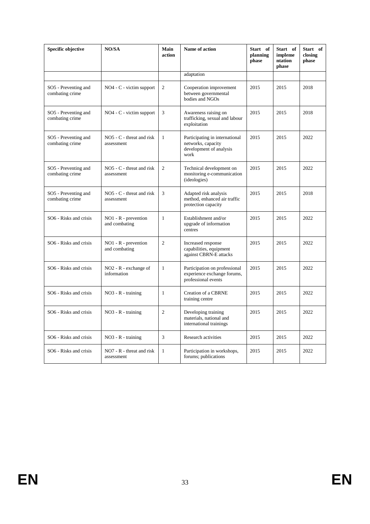| Specific objective                      | NO/SA                                     | Main<br>action | Name of action                                                                          | Start of<br>planning<br>phase | Start of<br>impleme<br>ntation<br>phase | Start of<br>closing<br>phase |
|-----------------------------------------|-------------------------------------------|----------------|-----------------------------------------------------------------------------------------|-------------------------------|-----------------------------------------|------------------------------|
|                                         |                                           |                | adaptation                                                                              |                               |                                         |                              |
| SO5 - Preventing and<br>combating crime | $NO4 - C$ - victim support                | $\overline{2}$ | Cooperation improvement<br>between governmental<br>bodies and NGOs                      | 2015                          | 2015                                    | 2018                         |
| SO5 - Preventing and<br>combating crime | NO4 - C - victim support                  | 3              | Awareness raising on<br>trafficking, sexual and labour<br>exploitation                  | 2015                          | 2015                                    | 2018                         |
| SO5 - Preventing and<br>combating crime | $NO5 - C$ - threat and risk<br>assessment | $\mathbf{1}$   | Participating in international<br>networks, capacity<br>development of analysis<br>work | 2015                          | 2015                                    | 2022                         |
| SO5 - Preventing and<br>combating crime | $NO5 - C$ - threat and risk<br>assessment | 2              | Technical development on<br>monitoring e-communication<br>(ideologies)                  | 2015                          | 2015                                    | 2022                         |
| SO5 - Preventing and<br>combating crime | $NO5 - C$ - threat and risk<br>assessment | 3              | Adapted risk analysis<br>method, enhanced air traffic<br>protection capacity            | 2015                          | 2015                                    | 2018                         |
| SO6 - Risks and crisis                  | $NO1 - R$ - prevention<br>and combating   | $\mathbf{1}$   | Establishment and/or<br>upgrade of information<br>centres                               | 2015                          | 2015                                    | 2022                         |
| SO6 - Risks and crisis                  | $NO1 - R$ - prevention<br>and combating   | $\overline{2}$ | Increased response<br>capabilities, equipment<br>against CBRN-E attacks                 | 2015                          | 2015                                    | 2022                         |
| SO6 - Risks and crisis                  | $NO2 - R - exchange of$<br>information    | $\mathbf{1}$   | Participation on professional<br>experience exchange forums,<br>professional events     | 2015                          | 2015                                    | 2022                         |
| SO6 - Risks and crisis                  | $NO3 - R - training$                      | $\mathbf{1}$   | Creation of a CBRNE<br>training centre                                                  | 2015                          | 2015                                    | 2022                         |
| SO6 - Risks and crisis                  | $NO3 - R - training$                      | $\overline{2}$ | Developing training<br>materials, national and<br>international trainings               | 2015                          | 2015                                    | 2022                         |
| SO6 - Risks and crisis                  | $NO3 - R - training$                      | 3              | Research activities                                                                     | 2015                          | 2015                                    | 2022                         |
| SO6 - Risks and crisis                  | $NO7 - R -$ threat and risk<br>assessment | $\mathbf{1}$   | Participation in workshops,<br>forums; publications                                     | 2015                          | 2015                                    | 2022                         |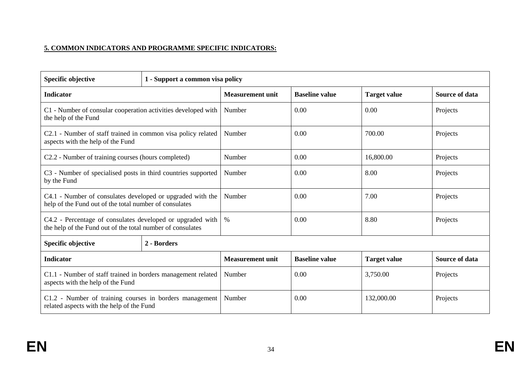# **5. COMMON INDICATORS AND PROGRAMME SPECIFIC INDICATORS:**

| <b>Specific objective</b>                                                                                                | 1 - Support a common visa policy |                         |                       |                     |                       |  |  |
|--------------------------------------------------------------------------------------------------------------------------|----------------------------------|-------------------------|-----------------------|---------------------|-----------------------|--|--|
| <b>Indicator</b>                                                                                                         |                                  | <b>Measurement unit</b> | <b>Baseline value</b> | <b>Target value</b> | Source of data        |  |  |
| C1 - Number of consular cooperation activities developed with<br>the help of the Fund                                    |                                  | Number                  | 0.00                  | 0.00                | Projects              |  |  |
| C2.1 - Number of staff trained in common visa policy related<br>aspects with the help of the Fund                        |                                  | Number                  | 0.00                  | 700.00              | Projects              |  |  |
| C2.2 - Number of training courses (hours completed)                                                                      |                                  | Number                  | 0.00                  | 16,800.00           | Projects              |  |  |
| C3 - Number of specialised posts in third countries supported<br>by the Fund                                             |                                  | Number                  | 0.00                  | 8.00                | Projects              |  |  |
| C4.1 - Number of consulates developed or upgraded with the<br>help of the Fund out of the total number of consulates     |                                  | Number                  | 0.00                  | 7.00                | Projects              |  |  |
| C4.2 - Percentage of consulates developed or upgraded with<br>the help of the Fund out of the total number of consulates |                                  | $\%$                    | 0.00                  | 8.80                | Projects              |  |  |
| <b>Specific objective</b>                                                                                                | 2 - Borders                      |                         |                       |                     |                       |  |  |
| <b>Indicator</b>                                                                                                         |                                  | <b>Measurement unit</b> | <b>Baseline value</b> | <b>Target value</b> | <b>Source of data</b> |  |  |
| C1.1 - Number of staff trained in borders management related<br>aspects with the help of the Fund                        |                                  | Number                  | 0.00                  | 3,750.00            | Projects              |  |  |
| C1.2 - Number of training courses in borders management<br>related aspects with the help of the Fund                     |                                  | Number                  | 0.00                  | 132,000.00          | Projects              |  |  |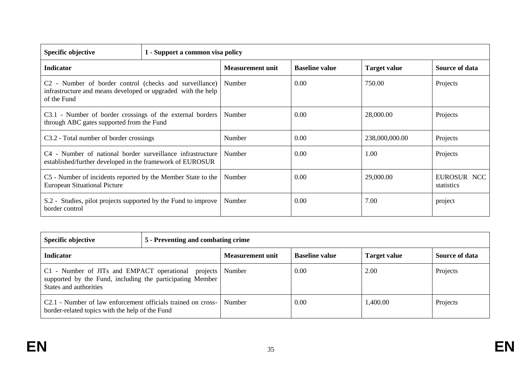| <b>Specific objective</b>                                                                                                                          | 1 - Support a common visa policy |                         |                       |                     |                           |  |  |  |
|----------------------------------------------------------------------------------------------------------------------------------------------------|----------------------------------|-------------------------|-----------------------|---------------------|---------------------------|--|--|--|
| <b>Indicator</b>                                                                                                                                   |                                  | <b>Measurement unit</b> | <b>Baseline value</b> | <b>Target value</b> | Source of data            |  |  |  |
| C <sub>2</sub> - Number of border control (checks and surveillance)<br>infrastructure and means developed or upgraded with the help<br>of the Fund |                                  | Number                  | 0.00                  | 750.00              | Projects                  |  |  |  |
| C3.1 - Number of border crossings of the external borders<br>through ABC gates supported from the Fund                                             |                                  | Number                  | 0.00                  | 28,000.00           | Projects                  |  |  |  |
| C3.2 - Total number of border crossings                                                                                                            |                                  | Number                  | 0.00                  | 238,000,000.00      | Projects                  |  |  |  |
| C4 - Number of national border surveillance infrastructure<br>established/further developed in the framework of EUROSUR                            |                                  | Number                  | 0.00                  | 1.00                | Projects                  |  |  |  |
| C5 - Number of incidents reported by the Member State to the<br><b>European Situational Picture</b>                                                |                                  | Number                  | 0.00                  | 29,000.00           | EUROSUR NCC<br>statistics |  |  |  |
| S.2 - Studies, pilot projects supported by the Fund to improve<br>border control                                                                   |                                  | Number                  | 0.00                  | 7.00                | project                   |  |  |  |

| <b>Specific objective</b>                                                                                                                  | 5 - Preventing and combating crime |                         |                       |                     |                |  |  |  |
|--------------------------------------------------------------------------------------------------------------------------------------------|------------------------------------|-------------------------|-----------------------|---------------------|----------------|--|--|--|
| <b>Indicator</b>                                                                                                                           |                                    | <b>Measurement unit</b> | <b>Baseline value</b> | <b>Target value</b> | Source of data |  |  |  |
| C1 - Number of JITs and EMPACT operational projects<br>supported by the Fund, including the participating Member<br>States and authorities |                                    | Number                  | 0.00                  | 2.00                | Projects       |  |  |  |
| C2.1 - Number of law enforcement officials trained on cross-<br>border-related topics with the help of the Fund                            |                                    | Number                  | 0.00                  | 1,400.00            | Projects       |  |  |  |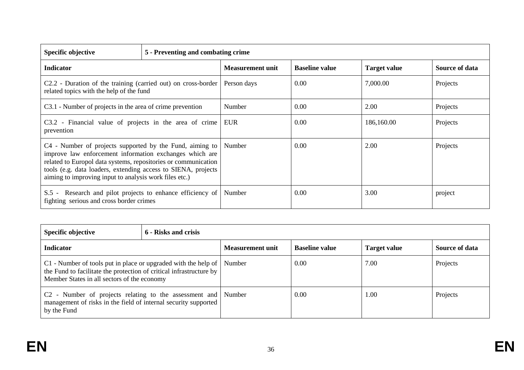| <b>Specific objective</b>                                                                                                                                                                                                                                                                                        | 5 - Preventing and combating crime |                         |                       |                     |                       |  |  |
|------------------------------------------------------------------------------------------------------------------------------------------------------------------------------------------------------------------------------------------------------------------------------------------------------------------|------------------------------------|-------------------------|-----------------------|---------------------|-----------------------|--|--|
| <b>Indicator</b>                                                                                                                                                                                                                                                                                                 |                                    | <b>Measurement unit</b> | <b>Baseline value</b> | <b>Target value</b> | <b>Source of data</b> |  |  |
| C2.2 - Duration of the training (carried out) on cross-border<br>related topics with the help of the fund                                                                                                                                                                                                        |                                    | Person days             | 0.00                  | 7,000.00            | Projects              |  |  |
| C3.1 - Number of projects in the area of crime prevention                                                                                                                                                                                                                                                        |                                    | Number                  | 0.00                  | 2.00                | Projects              |  |  |
| C3.2 - Financial value of projects in the area of crime<br>prevention                                                                                                                                                                                                                                            |                                    | EUR                     | 0.00                  | 186,160.00          | Projects              |  |  |
| C4 - Number of projects supported by the Fund, aiming to<br>improve law enforcement information exchanges which are<br>related to Europol data systems, repositories or communication<br>tools (e.g. data loaders, extending access to SIENA, projects<br>aiming to improving input to analysis work files etc.) |                                    | Number                  | 0.00                  | 2.00                | Projects              |  |  |
| Research and pilot projects to enhance efficiency of<br>$S.5 -$<br>fighting serious and cross border crimes                                                                                                                                                                                                      |                                    | Number                  | 0.00                  | 3.00                | project               |  |  |

| <b>Specific objective</b>                                                                                                                                                            | 6 - Risks and crisis |                  |                       |                     |                |  |
|--------------------------------------------------------------------------------------------------------------------------------------------------------------------------------------|----------------------|------------------|-----------------------|---------------------|----------------|--|
| <b>Indicator</b>                                                                                                                                                                     |                      | Measurement unit | <b>Baseline value</b> | <b>Target value</b> | Source of data |  |
| C1 - Number of tools put in place or upgraded with the help of<br>the Fund to facilitate the protection of critical infrastructure by<br>Member States in all sectors of the economy |                      | Number           | 0.00                  | 7.00                | Projects       |  |
| C <sub>2</sub> - Number of projects relating to the assessment and Number<br>management of risks in the field of internal security supported<br>by the Fund                          |                      |                  | 0.00                  | 1.00                | Projects       |  |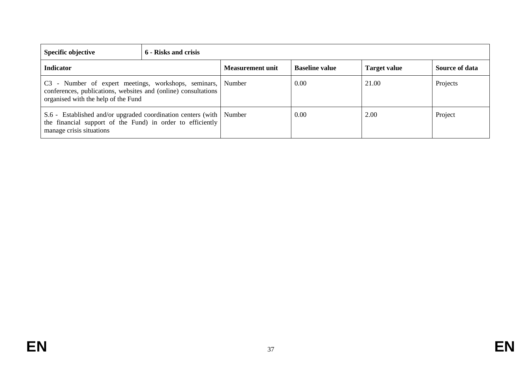| Specific objective                                                                                                                                                   | 6 - Risks and crisis |                         |                       |                     |                |  |
|----------------------------------------------------------------------------------------------------------------------------------------------------------------------|----------------------|-------------------------|-----------------------|---------------------|----------------|--|
| <b>Indicator</b>                                                                                                                                                     |                      | <b>Measurement unit</b> | <b>Baseline value</b> | <b>Target value</b> | Source of data |  |
| C3 - Number of expert meetings, workshops, seminars, Number<br>conferences, publications, websites and (online) consultations<br>organised with the help of the Fund |                      |                         | 0.00                  | 21.00               | Projects       |  |
| S.6 - Established and/or upgraded coordination centers (with   Number<br>the financial support of the Fund) in order to efficiently<br>manage crisis situations      |                      |                         | 0.00                  | 2.00                | Project        |  |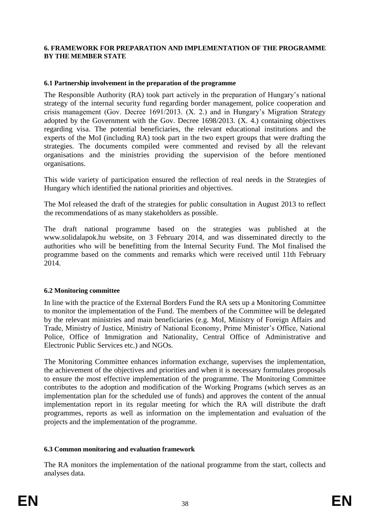#### **6. FRAMEWORK FOR PREPARATION AND IMPLEMENTATION OF THE PROGRAMME BY THE MEMBER STATE**

#### **6.1 Partnership involvement in the preparation of the programme**

The Responsible Authority (RA) took part actively in the preparation of Hungary's national strategy of the internal security fund regarding border management, police cooperation and crisis management (Gov. Decree 1691/2013. (X. 2.) and in Hungary's Migration Strategy adopted by the Government with the Gov. Decree 1698/2013. (X. 4.) containing objectives regarding visa. The potential beneficiaries, the relevant educational institutions and the experts of the MoI (including RA) took part in the two expert groups that were drafting the strategies. The documents compiled were commented and revised by all the relevant organisations and the ministries providing the supervision of the before mentioned organisations.

This wide variety of participation ensured the reflection of real needs in the Strategies of Hungary which identified the national priorities and objectives.

The MoI released the draft of the strategies for public consultation in August 2013 to reflect the recommendations of as many stakeholders as possible.

The draft national programme based on the strategies was published at the www.solidalapok.hu website, on 3 February 2014, and was disseminated directly to the authorities who will be benefitting from the Internal Security Fund. The MoI finalised the programme based on the comments and remarks which were received until 11th February 2014.

#### **6.2 Monitoring committee**

In line with the practice of the External Borders Fund the RA sets up a Monitoring Committee to monitor the implementation of the Fund. The members of the Committee will be delegated by the relevant ministries and main beneficiaries (e.g. MoI, Ministry of Foreign Affairs and Trade, Ministry of Justice, Ministry of National Economy, Prime Minister's Office, National Police, Office of Immigration and Nationality, Central Office of Administrative and Electronic Public Services etc.) and NGOs.

The Monitoring Committee enhances information exchange, supervises the implementation, the achievement of the objectives and priorities and when it is necessary formulates proposals to ensure the most effective implementation of the programme. The Monitoring Committee contributes to the adoption and modification of the Working Programs (which serves as an implementation plan for the scheduled use of funds) and approves the content of the annual implementation report in its regular meeting for which the RA will distribute the draft programmes, reports as well as information on the implementation and evaluation of the projects and the implementation of the programme.

## **6.3 Common monitoring and evaluation framework**

The RA monitors the implementation of the national programme from the start, collects and analyses data.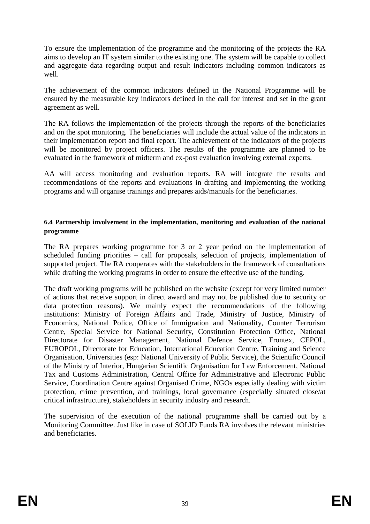To ensure the implementation of the programme and the monitoring of the projects the RA aims to develop an IT system similar to the existing one. The system will be capable to collect and aggregate data regarding output and result indicators including common indicators as well.

The achievement of the common indicators defined in the National Programme will be ensured by the measurable key indicators defined in the call for interest and set in the grant agreement as well.

The RA follows the implementation of the projects through the reports of the beneficiaries and on the spot monitoring. The beneficiaries will include the actual value of the indicators in their implementation report and final report. The achievement of the indicators of the projects will be monitored by project officers. The results of the programme are planned to be evaluated in the framework of midterm and ex-post evaluation involving external experts.

AA will access monitoring and evaluation reports. RA will integrate the results and recommendations of the reports and evaluations in drafting and implementing the working programs and will organise trainings and prepares aids/manuals for the beneficiaries.

#### **6.4 Partnership involvement in the implementation, monitoring and evaluation of the national programme**

The RA prepares working programme for 3 or 2 year period on the implementation of scheduled funding priorities – call for proposals, selection of projects, implementation of supported project. The RA cooperates with the stakeholders in the framework of consultations while drafting the working programs in order to ensure the effective use of the funding.

The draft working programs will be published on the website (except for very limited number of actions that receive support in direct award and may not be published due to security or data protection reasons). We mainly expect the recommendations of the following institutions: Ministry of Foreign Affairs and Trade, Ministry of Justice, Ministry of Economics, National Police, Office of Immigration and Nationality, Counter Terrorism Centre, Special Service for National Security, Constitution Protection Office, National Directorate for Disaster Management, National Defence Service, Frontex, CEPOL, EUROPOL, Directorate for Education, International Education Centre, Training and Science Organisation, Universities (esp: National University of Public Service), the Scientific Council of the Ministry of Interior, Hungarian Scientific Organisation for Law Enforcement, National Tax and Customs Administration, Central Office for Administrative and Electronic Public Service, Coordination Centre against Organised Crime, NGOs especially dealing with victim protection, crime prevention, and trainings, local governance (especially situated close/at critical infrastructure), stakeholders in security industry and research.

The supervision of the execution of the national programme shall be carried out by a Monitoring Committee. Just like in case of SOLID Funds RA involves the relevant ministries and beneficiaries.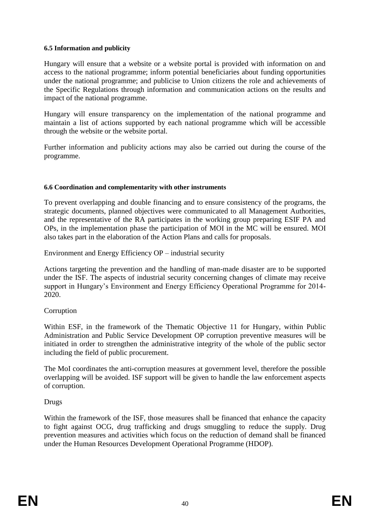## **6.5 Information and publicity**

Hungary will ensure that a website or a website portal is provided with information on and access to the national programme; inform potential beneficiaries about funding opportunities under the national programme; and publicise to Union citizens the role and achievements of the Specific Regulations through information and communication actions on the results and impact of the national programme.

Hungary will ensure transparency on the implementation of the national programme and maintain a list of actions supported by each national programme which will be accessible through the website or the website portal.

Further information and publicity actions may also be carried out during the course of the programme.

## **6.6 Coordination and complementarity with other instruments**

To prevent overlapping and double financing and to ensure consistency of the programs, the strategic documents, planned objectives were communicated to all Management Authorities, and the representative of the RA participates in the working group preparing ESIF PA and OPs, in the implementation phase the participation of MOI in the MC will be ensured. MOI also takes part in the elaboration of the Action Plans and calls for proposals.

Environment and Energy Efficiency OP – industrial security

Actions targeting the prevention and the handling of man-made disaster are to be supported under the ISF. The aspects of industrial security concerning changes of climate may receive support in Hungary's Environment and Energy Efficiency Operational Programme for 2014- 2020.

# Corruption

Within ESF, in the framework of the Thematic Objective 11 for Hungary, within Public Administration and Public Service Development OP corruption preventive measures will be initiated in order to strengthen the administrative integrity of the whole of the public sector including the field of public procurement.

The MoI coordinates the anti-corruption measures at government level, therefore the possible overlapping will be avoided. ISF support will be given to handle the law enforcement aspects of corruption.

# Drugs

Within the framework of the ISF, those measures shall be financed that enhance the capacity to fight against OCG, drug trafficking and drugs smuggling to reduce the supply. Drug prevention measures and activities which focus on the reduction of demand shall be financed under the Human Resources Development Operational Programme (HDOP).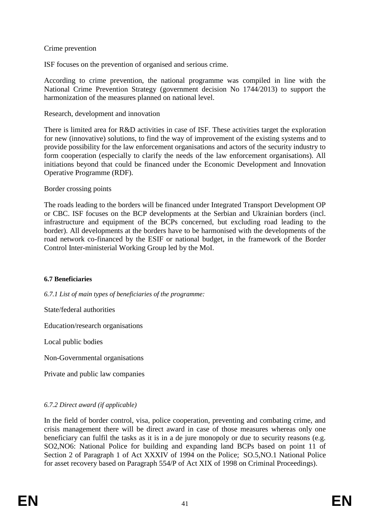## Crime prevention

ISF focuses on the prevention of organised and serious crime.

According to crime prevention, the national programme was compiled in line with the National Crime Prevention Strategy (government decision No 1744/2013) to support the harmonization of the measures planned on national level.

#### Research, development and innovation

There is limited area for R&D activities in case of ISF. These activities target the exploration for new (innovative) solutions, to find the way of improvement of the existing systems and to provide possibility for the law enforcement organisations and actors of the security industry to form cooperation (especially to clarify the needs of the law enforcement organisations). All initiations beyond that could be financed under the Economic Development and Innovation Operative Programme (RDF).

#### Border crossing points

The roads leading to the borders will be financed under Integrated Transport Development OP or CBC. ISF focuses on the BCP developments at the Serbian and Ukrainian borders (incl. infrastructure and equipment of the BCPs concerned, but excluding road leading to the border). All developments at the borders have to be harmonised with the developments of the road network co-financed by the ESIF or national budget, in the framework of the Border Control Inter-ministerial Working Group led by the MoI.

#### **6.7 Beneficiaries**

*6.7.1 List of main types of beneficiaries of the programme:*

State/federal authorities

Education/research organisations

Local public bodies

Non-Governmental organisations

Private and public law companies

## *6.7.2 Direct award (if applicable)*

In the field of border control, visa, police cooperation, preventing and combating crime, and crisis management there will be direct award in case of those measures whereas only one beneficiary can fulfil the tasks as it is in a de jure monopoly or due to security reasons (e.g. SO2,NO6: National Police for building and expanding land BCPs based on point 11 of Section 2 of Paragraph 1 of Act XXXIV of 1994 on the Police; SO.5,NO.1 National Police for asset recovery based on Paragraph 554/P of Act XIX of 1998 on Criminal Proceedings).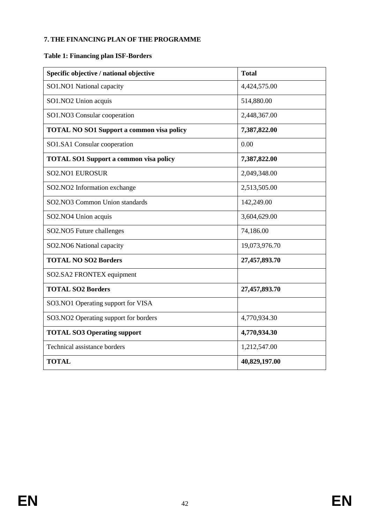## **7. THE FINANCING PLAN OF THE PROGRAMME**

# **Table 1: Financing plan ISF-Borders**

| Specific objective / national objective          | <b>Total</b>  |  |  |
|--------------------------------------------------|---------------|--|--|
| SO1.NO1 National capacity                        | 4,424,575.00  |  |  |
| SO1.NO2 Union acquis                             | 514,880.00    |  |  |
| SO1.NO3 Consular cooperation                     | 2,448,367.00  |  |  |
| <b>TOTAL NO SO1 Support a common visa policy</b> | 7,387,822.00  |  |  |
| SO1.SA1 Consular cooperation                     | 0.00          |  |  |
| <b>TOTAL SO1 Support a common visa policy</b>    | 7,387,822.00  |  |  |
| <b>SO2.NO1 EUROSUR</b>                           | 2,049,348.00  |  |  |
| SO2.NO2 Information exchange                     | 2,513,505.00  |  |  |
| SO2.NO3 Common Union standards                   | 142,249.00    |  |  |
| SO2.NO4 Union acquis                             | 3,604,629.00  |  |  |
| SO2.NO5 Future challenges                        | 74,186.00     |  |  |
| SO2.NO6 National capacity                        | 19,073,976.70 |  |  |
| <b>TOTAL NO SO2 Borders</b>                      | 27,457,893.70 |  |  |
| SO2.SA2 FRONTEX equipment                        |               |  |  |
| <b>TOTAL SO2 Borders</b>                         | 27,457,893.70 |  |  |
| SO3.NO1 Operating support for VISA               |               |  |  |
| SO3.NO2 Operating support for borders            | 4,770,934.30  |  |  |
| <b>TOTAL SO3 Operating support</b>               | 4,770,934.30  |  |  |
| Technical assistance borders                     | 1,212,547.00  |  |  |
| <b>TOTAL</b>                                     | 40,829,197.00 |  |  |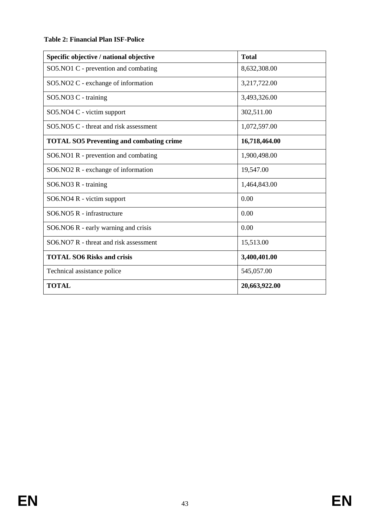## **Table 2: Financial Plan ISF-Police**

| Specific objective / national objective         | <b>Total</b>  |  |  |
|-------------------------------------------------|---------------|--|--|
| SO5.NO1 C - prevention and combating            | 8,632,308.00  |  |  |
| SO5.NO2 C - exchange of information             | 3,217,722.00  |  |  |
| SO5.NO3 C - training                            | 3,493,326.00  |  |  |
| SO5.NO4 C - victim support                      | 302,511.00    |  |  |
| SO5.NO5 C - threat and risk assessment          | 1,072,597.00  |  |  |
| <b>TOTAL SO5 Preventing and combating crime</b> | 16,718,464.00 |  |  |
| $SO6. NO1 R$ - prevention and combating         | 1,900,498.00  |  |  |
| SO6.NO2 R - exchange of information             | 19,547.00     |  |  |
| SO6.NO3 R - training                            | 1,464,843.00  |  |  |
| SO6.NO4 R - victim support                      | 0.00          |  |  |
| SO6.NO5 R - infrastructure                      | 0.00          |  |  |
| SO6.NO6 R - early warning and crisis            | 0.00          |  |  |
| SO6.NO7 R - threat and risk assessment          | 15,513.00     |  |  |
| <b>TOTAL SO6 Risks and crisis</b>               | 3,400,401.00  |  |  |
| Technical assistance police                     | 545,057.00    |  |  |
| <b>TOTAL</b>                                    | 20,663,922.00 |  |  |